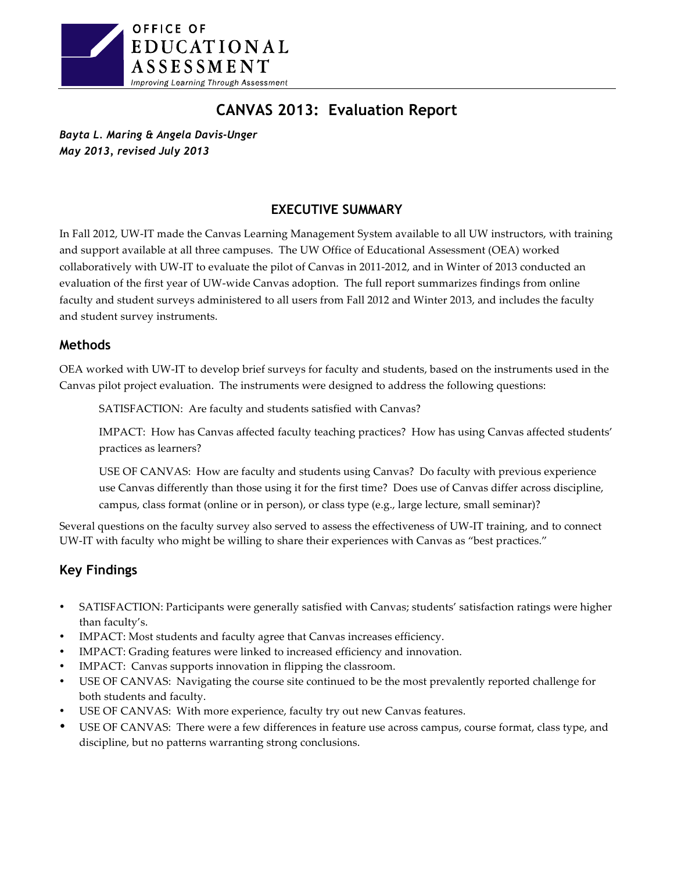

# **CANVAS 2013: Evaluation Report**

*Bayta L. Maring & Angela Davis-Unger May 2013, revised July 2013*

## **EXECUTIVE SUMMARY**

In Fall 2012, UW-IT made the Canvas Learning Management System available to all UW instructors, with training and support available at all three campuses. The UW Office of Educational Assessment (OEA) worked collaboratively with UW-IT to evaluate the pilot of Canvas in 2011-2012, and in Winter of 2013 conducted an evaluation of the first year of UW-wide Canvas adoption. The full report summarizes findings from online faculty and student surveys administered to all users from Fall 2012 and Winter 2013, and includes the faculty and student survey instruments.

## **Methods**

OEA worked with UW-IT to develop brief surveys for faculty and students, based on the instruments used in the Canvas pilot project evaluation. The instruments were designed to address the following questions:

SATISFACTION: Are faculty and students satisfied with Canvas?

IMPACT: How has Canvas affected faculty teaching practices? How has using Canvas affected students' practices as learners?

USE OF CANVAS: How are faculty and students using Canvas? Do faculty with previous experience use Canvas differently than those using it for the first time? Does use of Canvas differ across discipline, campus, class format (online or in person), or class type (e.g., large lecture, small seminar)?

Several questions on the faculty survey also served to assess the effectiveness of UW-IT training, and to connect UW-IT with faculty who might be willing to share their experiences with Canvas as "best practices."

## **Key Findings**

- SATISFACTION: Participants were generally satisfied with Canvas; students' satisfaction ratings were higher than faculty's.
- IMPACT: Most students and faculty agree that Canvas increases efficiency.
- IMPACT: Grading features were linked to increased efficiency and innovation.
- IMPACT: Canvas supports innovation in flipping the classroom.
- USE OF CANVAS: Navigating the course site continued to be the most prevalently reported challenge for both students and faculty.
- USE OF CANVAS: With more experience, faculty try out new Canvas features.
- USE OF CANVAS: There were a few differences in feature use across campus, course format, class type, and discipline, but no patterns warranting strong conclusions.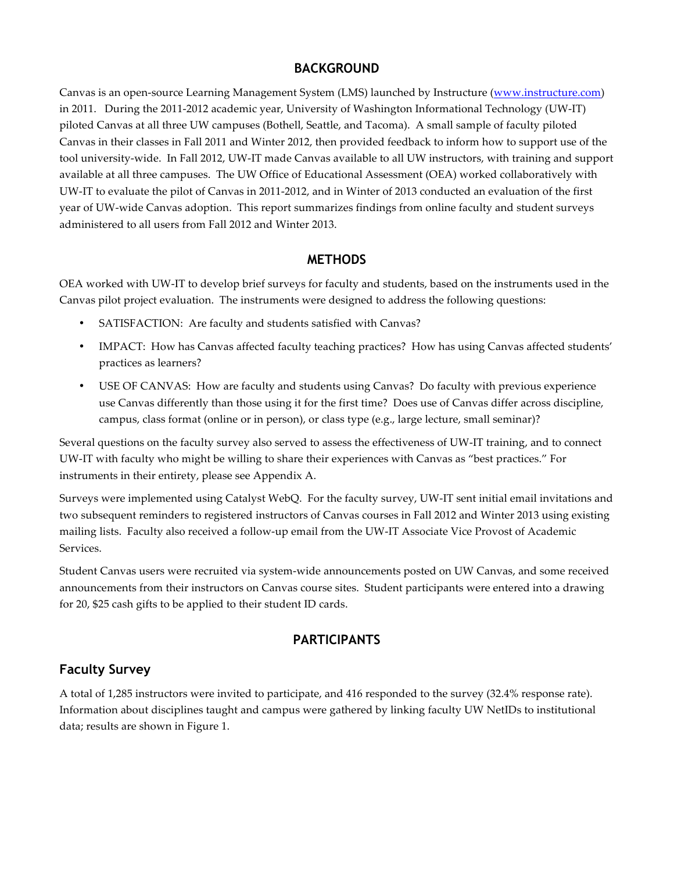## **BACKGROUND**

Canvas is an open-source Learning Management System (LMS) launched by Instructure (www.instructure.com) in 2011. During the 2011-2012 academic year, University of Washington Informational Technology (UW-IT) piloted Canvas at all three UW campuses (Bothell, Seattle, and Tacoma). A small sample of faculty piloted Canvas in their classes in Fall 2011 and Winter 2012, then provided feedback to inform how to support use of the tool university-wide. In Fall 2012, UW-IT made Canvas available to all UW instructors, with training and support available at all three campuses. The UW Office of Educational Assessment (OEA) worked collaboratively with UW-IT to evaluate the pilot of Canvas in 2011-2012, and in Winter of 2013 conducted an evaluation of the first year of UW-wide Canvas adoption. This report summarizes findings from online faculty and student surveys administered to all users from Fall 2012 and Winter 2013.

## **METHODS**

OEA worked with UW-IT to develop brief surveys for faculty and students, based on the instruments used in the Canvas pilot project evaluation. The instruments were designed to address the following questions:

- SATISFACTION: Are faculty and students satisfied with Canvas?
- IMPACT: How has Canvas affected faculty teaching practices? How has using Canvas affected students' practices as learners?
- USE OF CANVAS: How are faculty and students using Canvas? Do faculty with previous experience use Canvas differently than those using it for the first time? Does use of Canvas differ across discipline, campus, class format (online or in person), or class type (e.g., large lecture, small seminar)?

Several questions on the faculty survey also served to assess the effectiveness of UW-IT training, and to connect UW-IT with faculty who might be willing to share their experiences with Canvas as "best practices." For instruments in their entirety, please see Appendix A.

Surveys were implemented using Catalyst WebQ. For the faculty survey, UW-IT sent initial email invitations and two subsequent reminders to registered instructors of Canvas courses in Fall 2012 and Winter 2013 using existing mailing lists. Faculty also received a follow-up email from the UW-IT Associate Vice Provost of Academic Services.

Student Canvas users were recruited via system-wide announcements posted on UW Canvas, and some received announcements from their instructors on Canvas course sites. Student participants were entered into a drawing for 20, \$25 cash gifts to be applied to their student ID cards.

## **PARTICIPANTS**

## **Faculty Survey**

A total of 1,285 instructors were invited to participate, and 416 responded to the survey (32.4% response rate). Information about disciplines taught and campus were gathered by linking faculty UW NetIDs to institutional data; results are shown in Figure 1.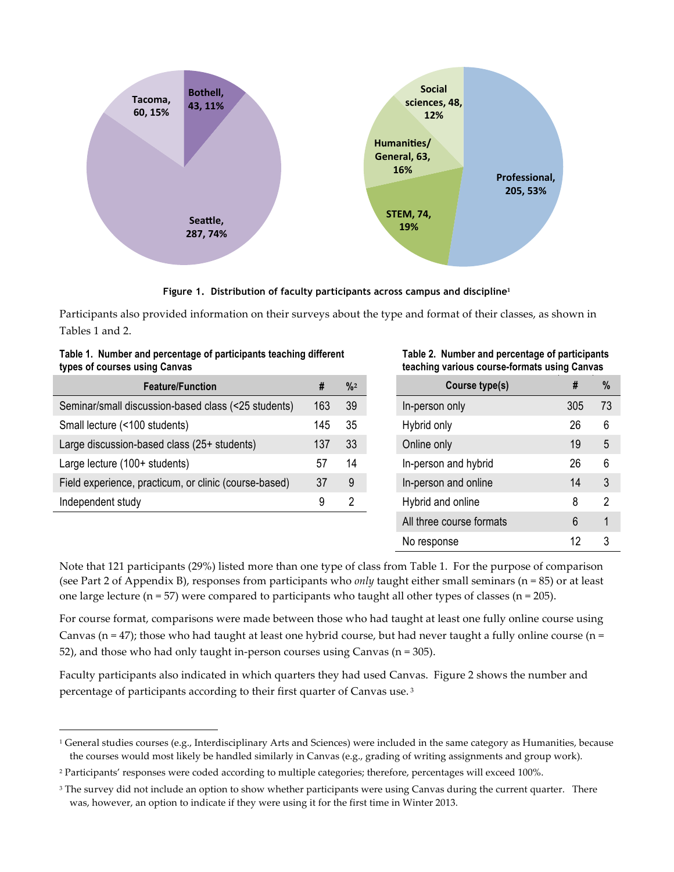

**Figure 1. Distribution of faculty participants across campus and discipline<sup>1</sup>**

Participants also provided information on their surveys about the type and format of their classes, as shown in Tables 1 and 2.

| Table 1. Number and percentage of participants teaching unferent<br>types of courses using Canvas |     |               | rapic 2. Number and percentage or participants<br>teaching various course-formats using Canvas |     |      |
|---------------------------------------------------------------------------------------------------|-----|---------------|------------------------------------------------------------------------------------------------|-----|------|
| <b>Feature/Function</b>                                                                           |     | $\frac{9}{2}$ | Course type(s)                                                                                 |     | $\%$ |
| Seminar/small discussion-based class (<25 students)                                               | 163 | 39            | In-person only                                                                                 | 305 | 73   |
| Small lecture (<100 students)                                                                     | 145 | 35            | Hybrid only                                                                                    | 26  | 6    |

Large discussion-based class  $(25 +$  students) 137  $33$ Large lecture (100+ students) 57 14 Field experience, practicum, or clinic (course-based) 37 9 Independent study 8 2

!!!!!!!!!!!!!!!!!!!!!!!!!!!!!!!!!!!!!!!!!!!!!!!!!!!!!!!

**Table 1. Number and percentage of participants teaching different** 

**Table 2. Number and percentage of participants teaching various course-formats using Canvas** 

| <b>Feature/Function</b>            | #   | $\frac{9}{2}$ | Course type(s)           | #   | $\%$ |
|------------------------------------|-----|---------------|--------------------------|-----|------|
| ussion-based class (<25 students)  | 163 | 39            | In-person only           | 305 | 73   |
| students)                          | 145 | 35            | Hybrid only              | 26  | 6    |
| ased class (25+ students)          | 137 | 33            | Online only              | 19  | 5    |
| students)                          | 57  | 14            | In-person and hybrid     | 26  | 6    |
| racticum, or clinic (course-based) | 37  | 9             | In-person and online     | 14  | 3    |
|                                    | 9   | 2             | Hybrid and online        | 8   | 2    |
|                                    |     |               | All three course formats | 6   | 1    |
|                                    |     |               | No response              | 12  | 3    |

Note that 121 participants (29%) listed more than one type of class from Table 1. For the purpose of comparison (see Part 2 of Appendix B), responses from participants who *only* taught either small seminars (n =  $85$ ) or at least one large lecture (n = 57) were compared to participants who taught all other types of classes (n = 205).

For course format, comparisons were made between those who had taught at least one fully online course using Canvas (n = 47); those who had taught at least one hybrid course, but had never taught a fully online course (n = 52), and those who had only taught in-person courses using Canvas (n = 305).

Faculty participants also indicated in which quarters they had used Canvas. Figure 2 shows the number and percentage of participants according to their first quarter of Canvas use.<sup>3</sup>

<sup>&</sup>lt;sup>1</sup> General studies courses (e.g., Interdisciplinary Arts and Sciences) were included in the same category as Humanities, because the courses would most likely be handled similarly in Canvas (e.g., grading of writing assignments and group work).

<sup>&</sup>lt;sup>2</sup> Participants' responses were coded according to multiple categories; therefore, percentages will exceed 100%.

<sup>&</sup>lt;sup>3</sup> The survey did not include an option to show whether participants were using Canvas during the current quarter. There was, however, an option to indicate if they were using it for the first time in Winter 2013.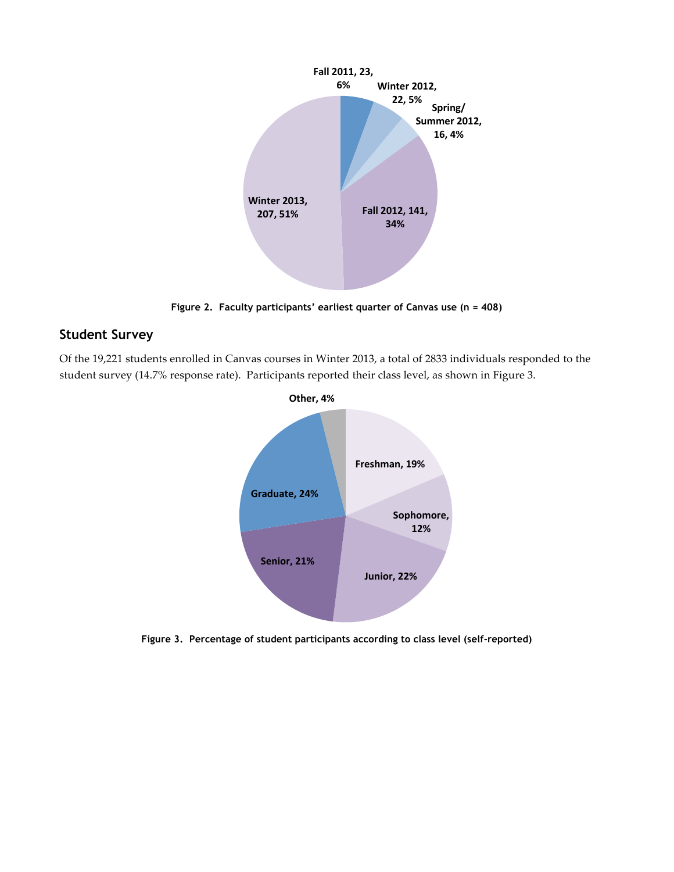

**Figure 2. Faculty participants' earliest quarter of Canvas use (n = 408)**

## **Student Survey**

Of the 19,221 students enrolled in Canvas courses in Winter 2013, a total of 2833 individuals responded to the student survey (14.7% response rate). Participants reported their class level, as shown in Figure 3.



**Figure 3. Percentage of student participants according to class level (self-reported)**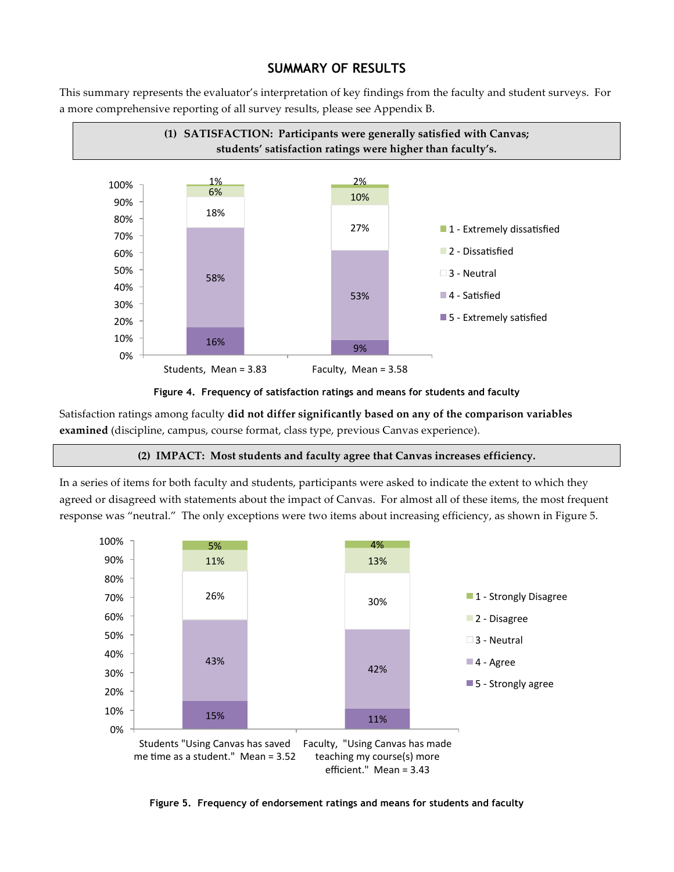## **SUMMARY OF RESULTS**

This summary represents the evaluator's interpretation of key findings from the faculty and student surveys. For a more comprehensive reporting of all survey results, please see Appendix B.





Satisfaction ratings among faculty did not differ significantly based on any of the comparison variables **examined** (discipline, campus, course format, class type, previous Canvas experience).

#### **(2)..IMPACT:..Most.students.and.faculty.agree.that.Canvas.increases.efficiency.**

In a series of items for both faculty and students, participants were asked to indicate the extent to which they agreed or disagreed with statements about the impact of Canvas. For almost all of these items, the most frequent response was "neutral." The only exceptions were two items about increasing efficiency, as shown in Figure 5.



**Figure 5. Frequency of endorsement ratings and means for students and faculty**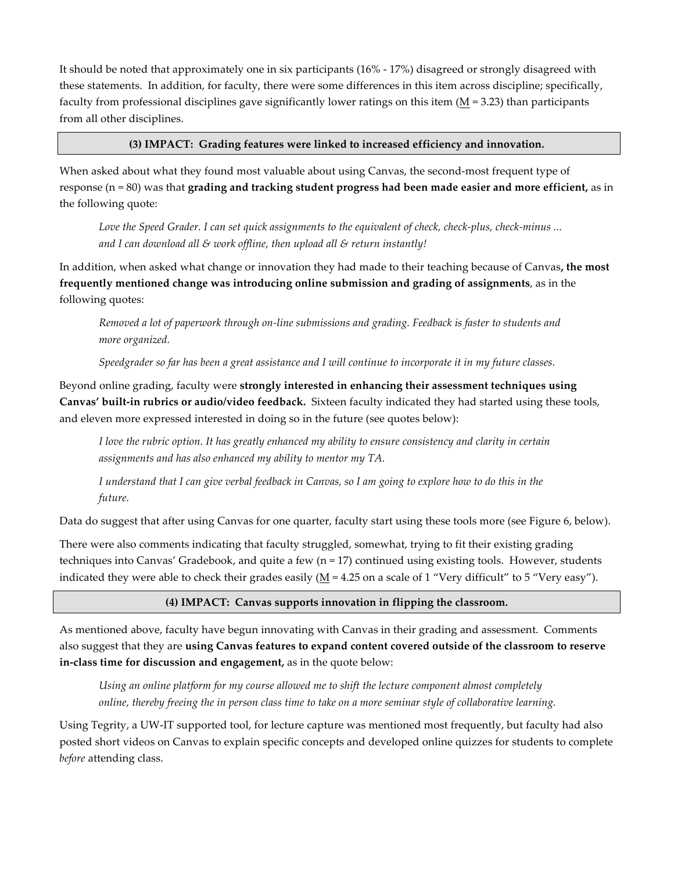It should be noted that approximately one in six participants (16% - 17%) disagreed or strongly disagreed with these statements. In addition, for faculty, there were some differences in this item across discipline; specifically, faculty from professional disciplines gave significantly lower ratings on this item  $(M = 3.23)$  than participants from all other disciplines.

### **(3).IMPACT:..Grading features.were.linked.to.increased efficiency.and.innovation.**

When asked about what they found most valuable about using Canvas, the second-most frequent type of response  $(n=80)$  was that **grading and tracking student progress had been made easier and more efficient,** as in the following quote:

Love the Speed Grader. I can set quick assignments to the equivalent of check, check-plus, check-minus ... *and%I can%download%all%&%work%offline,%then upload%all%&%return%instantly!*

In addition, when asked what change or innovation they had made to their teaching because of Canvas, the most **frequently mentioned change was introducing online submission and grading of assignments, as in the** following quotes:

Removed a lot of paperwork through on-line submissions and grading. Feedback is faster to students and *more%organized.*

Speedgrader so far has been a great assistance and I will continue to incorporate it in my future classes.

Beyond online grading, faculty were strongly interested in enhancing their assessment techniques using Canvas' built-in rubrics or audio/video feedback. Sixteen faculty indicated they had started using these tools, and eleven more expressed interested in doing so in the future (see quotes below):

*I* love the rubric option. It has greatly enhanced my ability to ensure consistency and clarity in certain assignments and has also enhanced my ability to mentor my TA.

*I* understand that I can give verbal feedback in Canvas, so I am going to explore how to do this in the *future.*

Data do suggest that after using Canvas for one quarter, faculty start using these tools more (see Figure 6, below).

There were also comments indicating that faculty struggled, somewhat, trying to fit their existing grading techniques into Canvas' Gradebook, and quite a few  $(n=17)$  continued using existing tools. However, students indicated they were able to check their grades easily (M = 4.25 on a scale of 1 "Very difficult" to 5 "Very easy").

#### (4) IMPACT: Canvas supports innovation in flipping the classroom.

As mentioned above, faculty have begun innovating with Canvas in their grading and assessment. Comments also suggest that they are using Canvas features to expand content covered outside of the classroom to reserve **in-class time for discussion and engagement,** as in the quote below:

Using an online platform for my course allowed me to shift the lecture component almost completely online, thereby freeing the in person class time to take on a more seminar style of collaborative learning.

Using Tegrity, a UW-IT supported tool, for lecture capture was mentioned most frequently, but faculty had also posted short videos on Canvas to explain specific concepts and developed online quizzes for students to complete *before* attending class.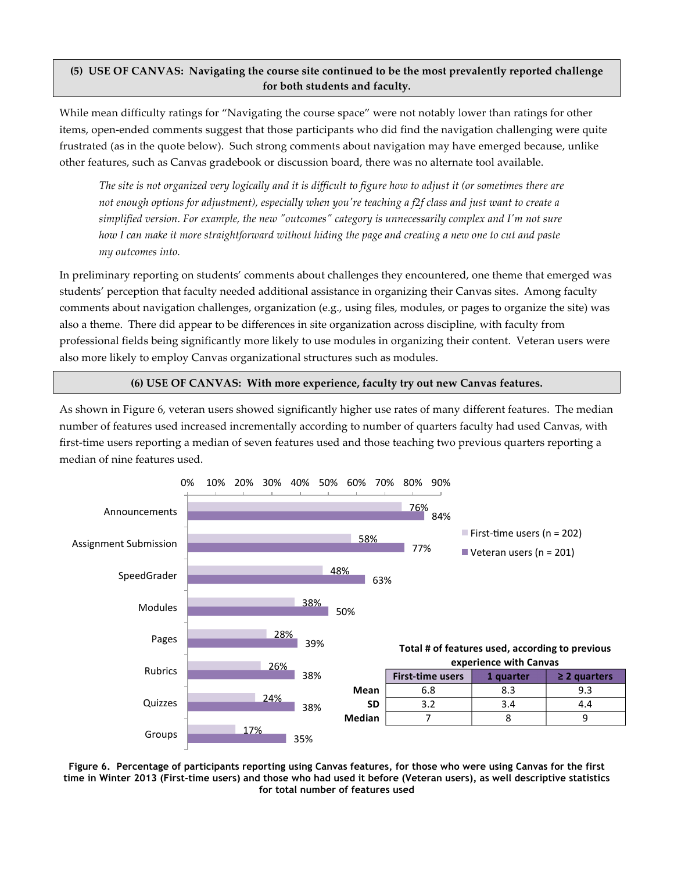### (5) USE OF CANVAS: Navigating the course site continued to be the most prevalently reported challenge **for.both.students.and.faculty.**

While mean difficulty ratings for "Navigating the course space" were not notably lower than ratings for other items, open-ended comments suggest that those participants who did find the navigation challenging were quite frustrated (as in the quote below). Such strong comments about navigation may have emerged because, unlike other features, such as Canvas gradebook or discussion board, there was no alternate tool available.

*The site is not organized very logically and it is difficult to figure how to adjust it (or sometimes there are not enough options for adjustment), especially when you're teaching a f2f class and just want to create a* simplified version. For example, the new "outcomes" category is unnecessarily complex and I'm not sure *how%I%can%make%it%more%straightforward%without%hiding%the%page%and%creating%a%new%one%to%cut%and%paste% my%outcomes%into.*

In preliminary reporting on students' comments about challenges they encountered, one theme that emerged was students' perception that faculty needed additional assistance in organizing their Canvas sites. Among faculty comments about navigation challenges, organization (e.g., using files, modules, or pages to organize the site) was also a theme. There did appear to be differences in site organization across discipline, with faculty from professional fields being significantly more likely to use modules in organizing their content. Veteran users were also more likely to employ Canvas organizational structures such as modules.

#### **(6).USE.OF.CANVAS:..With.more.experience,.faculty.try.out.new Canvas features.**

As shown in Figure 6, veteran users showed significantly higher use rates of many different features. The median number of features used increased incrementally according to number of quarters faculty had used Canvas, with first-time users reporting a median of seven features used and those teaching two previous quarters reporting a median of nine features used.



**Figure 6. Percentage of participants reporting using Canvas features, for those who were using Canvas for the first time in Winter 2013 (First-time users) and those who had used it before (Veteran users), as well descriptive statistics for total number of features used**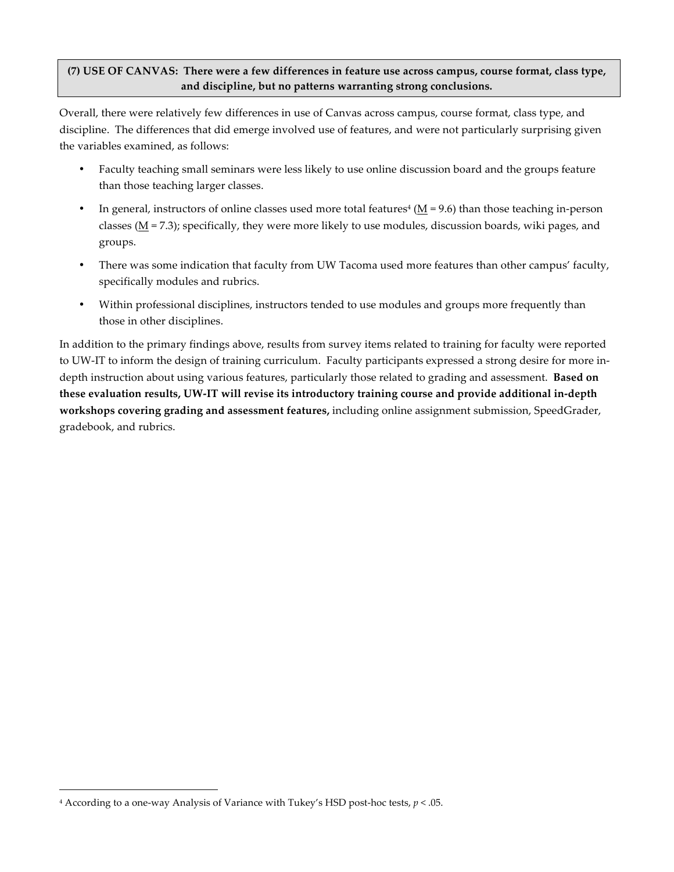### (7) USE OF CANVAS: There were a few differences in feature use across campus, course format, class type, and discipline, but no patterns warranting strong conclusions.

Overall, there were relatively few differences in use of Canvas across campus, course format, class type, and discipline. The differences that did emerge involved use of features, and were not particularly surprising given the variables examined, as follows:

- Faculty teaching small seminars were less likely to use online discussion board and the groups feature than those teaching larger classes.
- In general, instructors of online classes used more total features<sup>4</sup> (M = 9.6) than those teaching in-person classes ( $M = 7.3$ ); specifically, they were more likely to use modules, discussion boards, wiki pages, and groups.
- There was some indication that faculty from UW Tacoma used more features than other campus' faculty, specifically modules and rubrics.
- Within professional disciplines, instructors tended to use modules and groups more frequently than those in other disciplines.

In addition to the primary findings above, results from survey items related to training for faculty were reported to UW-IT to inform the design of training curriculum. Faculty participants expressed a strong desire for more indepth instruction about using various features, particularly those related to grading and assessment. **Based on** these evaluation results, UW-IT will revise its introductory training course and provide additional in-depth **workshops covering grading and assessment features,** including online assignment submission, SpeedGrader, gradebook, and rubrics.

<sup>&</sup>lt;sup>4</sup> According to a one-way Analysis of Variance with Tukey's HSD post-hoc tests,  $p < .05$ .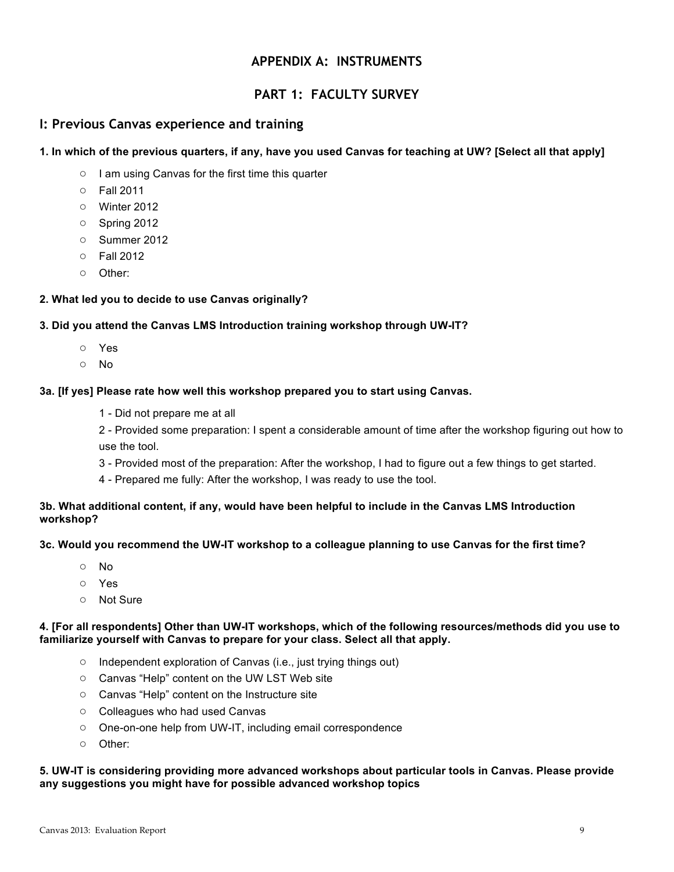## **APPENDIX A: INSTRUMENTS**

## **PART 1: FACULTY SURVEY**

### **I: Previous Canvas experience and training**

### **1. In which of the previous quarters, if any, have you used Canvas for teaching at UW? [Select all that apply]**

- I am using Canvas for the first time this quarter
- Fall 2011
- Winter 2012
- Spring 2012
- Summer 2012
- Fall 2012
- Other:

### **2. What led you to decide to use Canvas originally?**

### **3. Did you attend the Canvas LMS Introduction training workshop through UW-IT?**

- Yes
- No

#### **3a. [If yes] Please rate how well this workshop prepared you to start using Canvas.**

1 - Did not prepare me at all

2 - Provided some preparation: I spent a considerable amount of time after the workshop figuring out how to use the tool.

- 3 Provided most of the preparation: After the workshop, I had to figure out a few things to get started.
- 4 Prepared me fully: After the workshop, I was ready to use the tool.

### **3b. What additional content, if any, would have been helpful to include in the Canvas LMS Introduction workshop?**

### **3c. Would you recommend the UW-IT workshop to a colleague planning to use Canvas for the first time?**

- No
- Yes
- Not Sure

### **4. [For all respondents] Other than UW-IT workshops, which of the following resources/methods did you use to familiarize yourself with Canvas to prepare for your class. Select all that apply.**

- Independent exploration of Canvas (i.e., just trying things out)
- Canvas "Help" content on the UW LST Web site
- Canvas "Help" content on the Instructure site
- Colleagues who had used Canvas
- One-on-one help from UW-IT, including email correspondence
- Other:

### **5. UW-IT is considering providing more advanced workshops about particular tools in Canvas. Please provide any suggestions you might have for possible advanced workshop topics**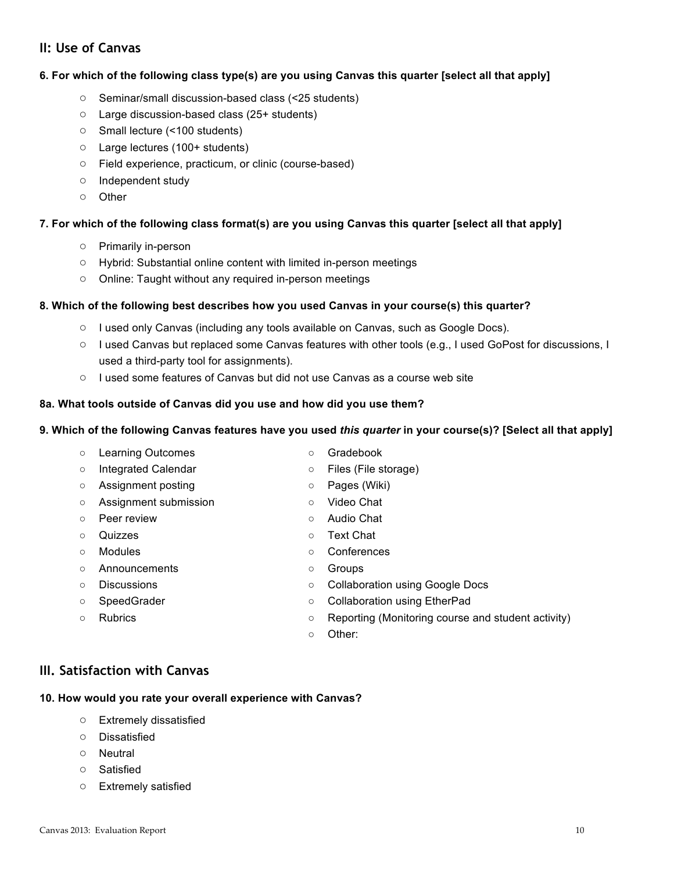## **II: Use of Canvas**

### **6. For which of the following class type(s) are you using Canvas this quarter [select all that apply]**

- Seminar/small discussion-based class (<25 students)
- Large discussion-based class (25+ students)
- Small lecture (<100 students)
- Large lectures (100+ students)
- Field experience, practicum, or clinic (course-based)
- Independent study
- Other

### **7. For which of the following class format(s) are you using Canvas this quarter [select all that apply]**

- Primarily in-person
- Hybrid: Substantial online content with limited in-person meetings
- Online: Taught without any required in-person meetings

### **8. Which of the following best describes how you used Canvas in your course(s) this quarter?**

- I used only Canvas (including any tools available on Canvas, such as Google Docs).
- I used Canvas but replaced some Canvas features with other tools (e.g., I used GoPost for discussions, I used a third-party tool for assignments).
- I used some features of Canvas but did not use Canvas as a course web site

#### **8a. What tools outside of Canvas did you use and how did you use them?**

### **9. Which of the following Canvas features have you used** *this quarter* **in your course(s)? [Select all that apply]**

| $\circ$ | <b>Learning Outcomes</b>   | $\circ$ | Gradebook                                          |
|---------|----------------------------|---------|----------------------------------------------------|
| $\circ$ | <b>Integrated Calendar</b> | $\circ$ | Files (File storage)                               |
| $\circ$ | Assignment posting         | $\circ$ | Pages (Wiki)                                       |
| $\circ$ | Assignment submission      | $\circ$ | Video Chat                                         |
| $\circ$ | Peer review                | $\circ$ | Audio Chat                                         |
| $\circ$ | Quizzes                    | $\circ$ | Text Chat                                          |
| $\circ$ | <b>Modules</b>             | $\circ$ | Conferences                                        |
| $\circ$ | Announcements              | O       | Groups                                             |
| $\circ$ | <b>Discussions</b>         | $\circ$ | <b>Collaboration using Google Docs</b>             |
| $\circ$ | SpeedGrader                | $\circ$ | <b>Collaboration using EtherPad</b>                |
| O       | <b>Rubrics</b>             | $\circ$ | Reporting (Monitoring course and student activity) |
|         |                            | $\circ$ | Other:                                             |

## **III. Satisfaction with Canvas**

## **10. How would you rate your overall experience with Canvas?**

- Extremely dissatisfied
- Dissatisfied
- Neutral
- Satisfied
- Extremely satisfied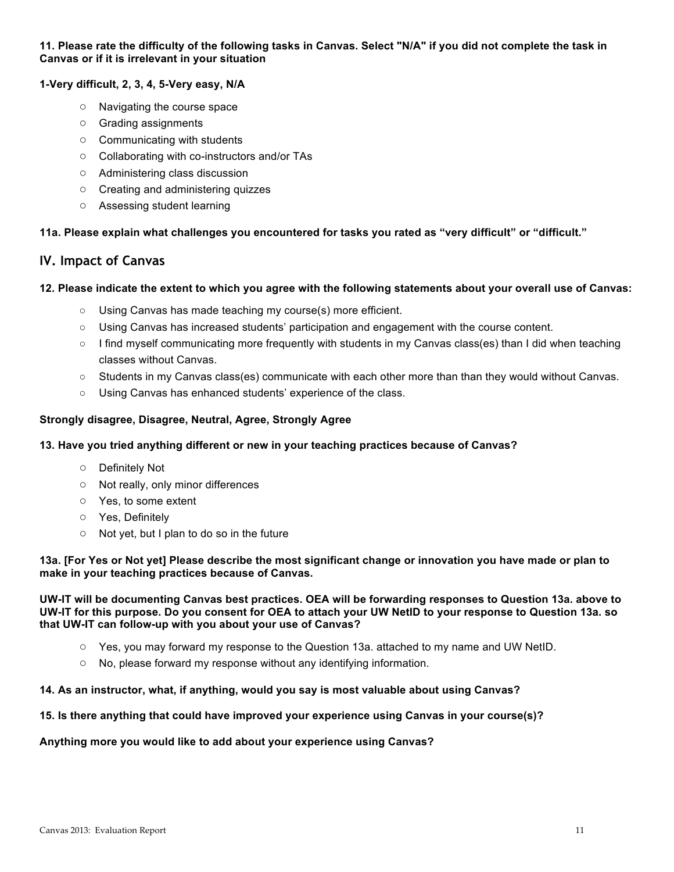### **11. Please rate the difficulty of the following tasks in Canvas. Select "N/A" if you did not complete the task in Canvas or if it is irrelevant in your situation**

### **1-Very difficult, 2, 3, 4, 5-Very easy, N/A**

- Navigating the course space
- Grading assignments
- Communicating with students
- Collaborating with co-instructors and/or TAs
- Administering class discussion
- Creating and administering quizzes
- Assessing student learning

**11a. Please explain what challenges you encountered for tasks you rated as "very difficult" or "difficult."**

## **IV. Impact of Canvas**

### **12. Please indicate the extent to which you agree with the following statements about your overall use of Canvas:**

- Using Canvas has made teaching my course(s) more efficient.
- Using Canvas has increased students' participation and engagement with the course content.
- I find myself communicating more frequently with students in my Canvas class(es) than I did when teaching classes without Canvas.
- Students in my Canvas class(es) communicate with each other more than than they would without Canvas.
- Using Canvas has enhanced students' experience of the class.

### **Strongly disagree, Disagree, Neutral, Agree, Strongly Agree**

### **13. Have you tried anything different or new in your teaching practices because of Canvas?**

- Definitely Not
- Not really, only minor differences
- Yes, to some extent
- Yes, Definitely
- Not yet, but I plan to do so in the future

### **13a. [For Yes or Not yet] Please describe the most significant change or innovation you have made or plan to make in your teaching practices because of Canvas.**

### **UW-IT will be documenting Canvas best practices. OEA will be forwarding responses to Question 13a. above to UW-IT for this purpose. Do you consent for OEA to attach your UW NetID to your response to Question 13a. so that UW-IT can follow-up with you about your use of Canvas?**

- Yes, you may forward my response to the Question 13a. attached to my name and UW NetID.
- No, please forward my response without any identifying information.

### **14. As an instructor, what, if anything, would you say is most valuable about using Canvas?**

### **15. Is there anything that could have improved your experience using Canvas in your course(s)?**

### **Anything more you would like to add about your experience using Canvas?**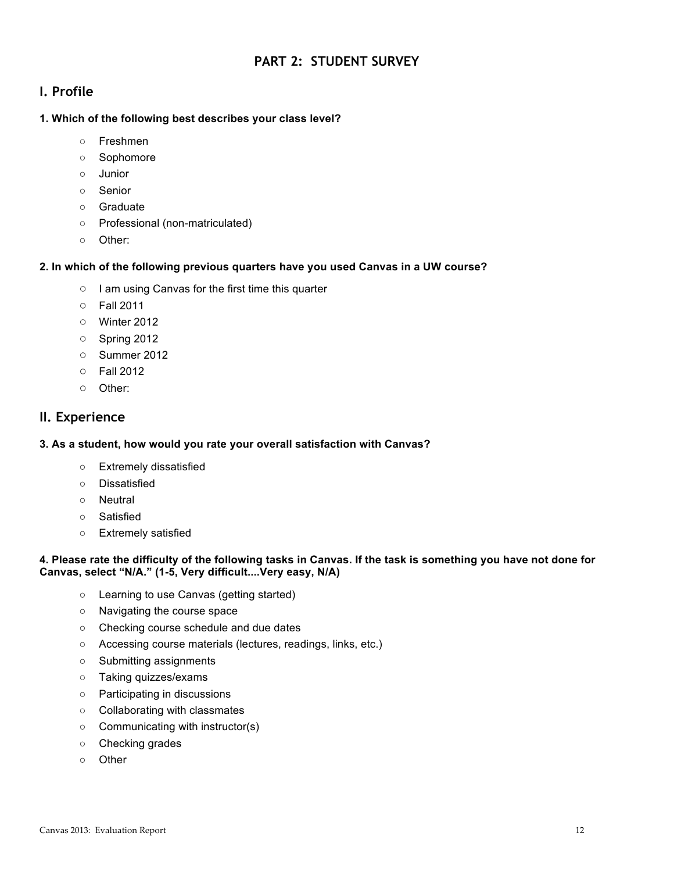## **PART 2: STUDENT SURVEY**

## **I. Profile**

### **1. Which of the following best describes your class level?**

- Freshmen
- Sophomore
- Junior
- Senior
- Graduate
- Professional (non-matriculated)
- Other:

### **2. In which of the following previous quarters have you used Canvas in a UW course?**

- I am using Canvas for the first time this quarter
- Fall 2011
- Winter 2012
- Spring 2012
- Summer 2012
- Fall 2012
- Other:

## **II. Experience**

### **3. As a student, how would you rate your overall satisfaction with Canvas?**

- Extremely dissatisfied
- Dissatisfied
- Neutral
- Satisfied
- Extremely satisfied

### **4. Please rate the difficulty of the following tasks in Canvas. If the task is something you have not done for Canvas, select "N/A." (1-5, Very difficult....Very easy, N/A)**

- Learning to use Canvas (getting started)
- Navigating the course space
- Checking course schedule and due dates
- Accessing course materials (lectures, readings, links, etc.)
- Submitting assignments
- Taking quizzes/exams
- Participating in discussions
- Collaborating with classmates
- Communicating with instructor(s)
- Checking grades
- Other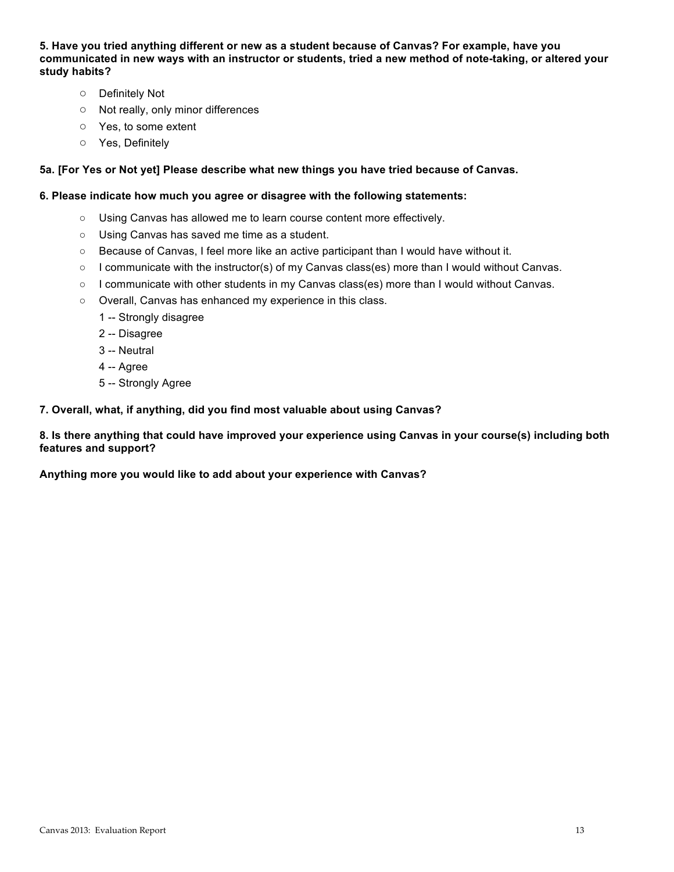**5. Have you tried anything different or new as a student because of Canvas? For example, have you communicated in new ways with an instructor or students, tried a new method of note-taking, or altered your study habits?**

- Definitely Not
- Not really, only minor differences
- Yes, to some extent
- Yes, Definitely

### **5a. [For Yes or Not yet] Please describe what new things you have tried because of Canvas.**

#### **6. Please indicate how much you agree or disagree with the following statements:**

- Using Canvas has allowed me to learn course content more effectively.
- Using Canvas has saved me time as a student.
- Because of Canvas, I feel more like an active participant than I would have without it.
- I communicate with the instructor(s) of my Canvas class(es) more than I would without Canvas.
- I communicate with other students in my Canvas class(es) more than I would without Canvas.
- Overall, Canvas has enhanced my experience in this class.
	- 1 -- Strongly disagree
	- 2 -- Disagree
	- 3 -- Neutral
	- 4 -- Agree
	- 5 -- Strongly Agree

#### **7. Overall, what, if anything, did you find most valuable about using Canvas?**

**8. Is there anything that could have improved your experience using Canvas in your course(s) including both features and support?**

**Anything more you would like to add about your experience with Canvas?**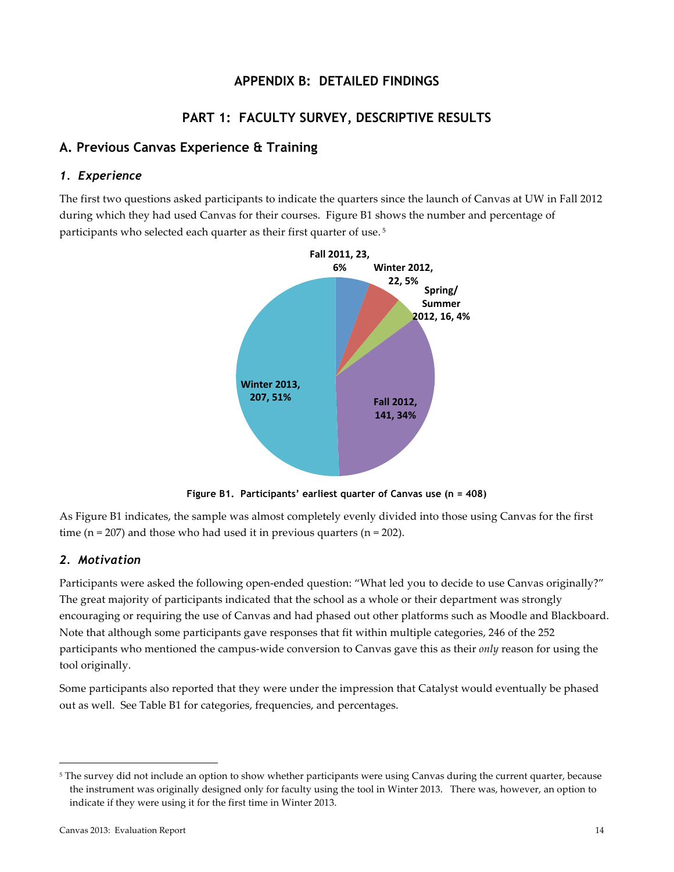## **APPENDIX B: DETAILED FINDINGS**

## **PART 1: FACULTY SURVEY, DESCRIPTIVE RESULTS**

## **A. Previous Canvas Experience & Training**

### *1. Experience*

The first two questions asked participants to indicate the quarters since the launch of Canvas at UW in Fall 2012 during which they had used Canvas for their courses. Figure B1 shows the number and percentage of participants who selected each quarter as their first quarter of use.<sup>5</sup>



**Figure B1. Participants' earliest quarter of Canvas use (n = 408)**

As Figure B1 indicates, the sample was almost completely evenly divided into those using Canvas for the first time (n = 207) and those who had used it in previous quarters (n = 202).

### *2. Motivation*

Participants were asked the following open-ended question: "What led you to decide to use Canvas originally?" The great majority of participants indicated that the school as a whole or their department was strongly encouraging or requiring the use of Canvas and had phased out other platforms such as Moodle and Blackboard. Note that although some participants gave responses that fit within multiple categories, 246 of the 252 participants who mentioned the campus-wide conversion to Canvas gave this as their *only* reason for using the tool originally.

Some participants also reported that they were under the impression that Catalyst would eventually be phased out as well. See Table B1 for categories, frequencies, and percentages.

<sup>&</sup>lt;sup>5</sup> The survey did not include an option to show whether participants were using Canvas during the current quarter, because the instrument was originally designed only for faculty using the tool in Winter 2013. There was, however, an option to indicate if they were using it for the first time in Winter 2013.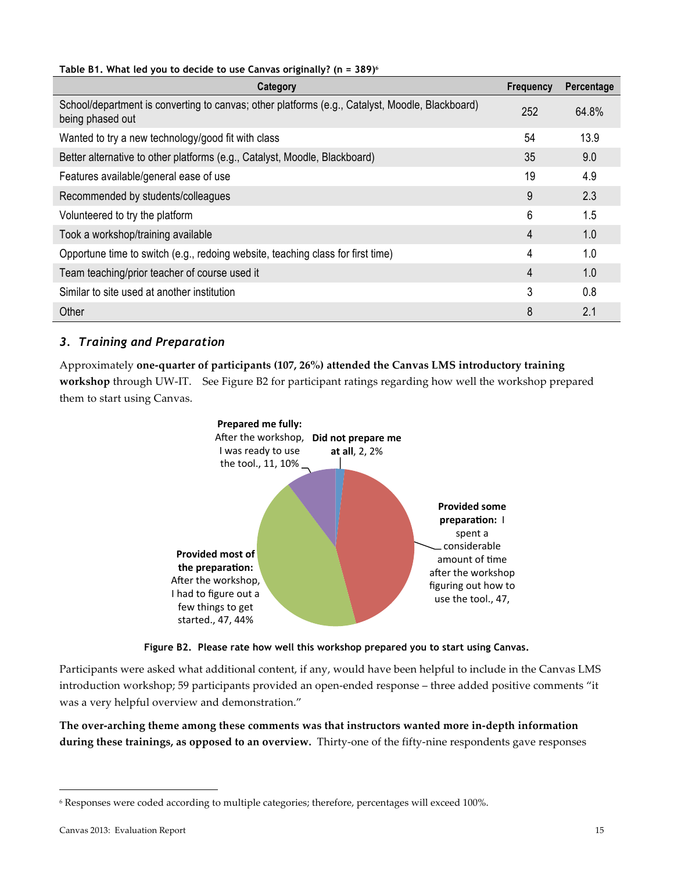### **Table B1. What led you to decide to use Canvas originally? (n = 389)<sup>6</sup>**

| Category                                                                                                            | <b>Frequency</b> | Percentage |
|---------------------------------------------------------------------------------------------------------------------|------------------|------------|
| School/department is converting to canvas; other platforms (e.g., Catalyst, Moodle, Blackboard)<br>being phased out | 252              | 64.8%      |
| Wanted to try a new technology/good fit with class                                                                  | 54               | 13.9       |
| Better alternative to other platforms (e.g., Catalyst, Moodle, Blackboard)                                          | 35               | 9.0        |
| Features available/general ease of use                                                                              | 19               | 4.9        |
| Recommended by students/colleagues                                                                                  | 9                | 2.3        |
| Volunteered to try the platform                                                                                     | 6                | 1.5        |
| Took a workshop/training available                                                                                  | 4                | 1.0        |
| Opportune time to switch (e.g., redoing website, teaching class for first time)                                     | 4                | 1.0        |
| Team teaching/prior teacher of course used it                                                                       | $\overline{4}$   | 1.0        |
| Similar to site used at another institution                                                                         | 3                | 0.8        |
| Other                                                                                                               | 8                | 2.1        |

## *3. Training and Preparation*

Approximately one-quarter of participants (107, 26%) attended the Canvas LMS introductory training **workshop** through UW-IT. See Figure B2 for participant ratings regarding how well the workshop prepared them to start using Canvas.





Participants were asked what additional content, if any, would have been helpful to include in the Canvas LMS introduction workshop; 59 participants provided an open-ended response – three added positive comments "it was a very helpful overview and demonstration."

The over-arching theme among these comments was that instructors wanted more in-depth information **during these trainings, as opposed to an overview.** Thirty-one of the fifty-nine respondents gave responses

 $6$  Responses were coded according to multiple categories; therefore, percentages will exceed 100%.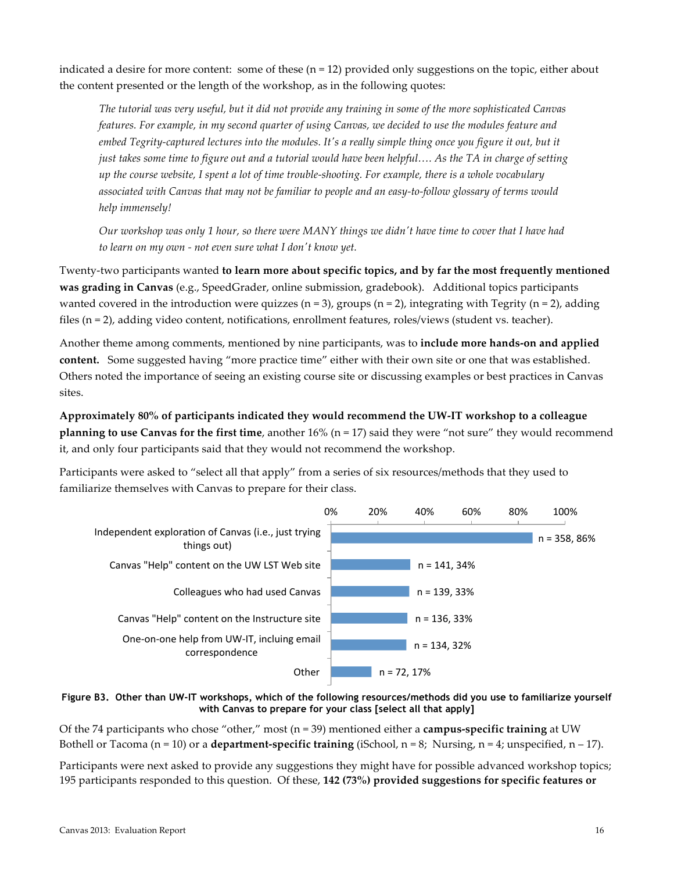indicated a desire for more content: some of these  $(n=12)$  provided only suggestions on the topic, either about the content presented or the length of the workshop, as in the following quotes:

*The%tutorial%was%very%useful,%but%it did%not%provide%any%training%in%some%of%the%more%sophisticated%Canvas% features. For example, in my second quarter of using Canvas, we decided to use the modules feature and embed Tegrity-captured lectures into the modules. It's a really simple thing once you figure it out, but it just takes some time to figure out and a tutorial would have been helpful.... As the TA in charge of setting up%the%course%website,%I%spent%a%lot%of%time%trouble=shooting.%For%example,%there%is%a%whole%vocabulary%* associated with Canvas that may not be familiar to people and an easy-to-follow glossary of terms would *help%immensely!*

Our workshop was only 1 hour, so there were MANY things we didn't have time to cover that I have had *to%learn%on%my%own%= not%even%sure%what%I%donMt%know%yet.*

Twenty-two participants wanted to learn more about specific topics, and by far the most frequently mentioned **was grading in Canvas** (e.g., SpeedGrader, online submission, gradebook). Additional topics participants wanted covered in the introduction were quizzes (n = 3), groups (n = 2), integrating with Tegrity (n = 2), adding files (n = 2), adding video content, notifications, enrollment features, roles/views (student vs. teacher).

Another theme among comments, mentioned by nine participants, was to **include more hands-on and applied content.** Some suggested having "more practice time" either with their own site or one that was established. Others noted the importance of seeing an existing course site or discussing examples or best practices in Canvas sites.

Approximately 80% of participants indicated they would recommend the UW-IT workshop to a colleague **planning to use Canvas for the first time**, another  $16\%$  (n = 17) said they were "not sure" they would recommend it, and only four participants said that they would not recommend the workshop.

Participants were asked to "select all that apply" from a series of six resources/methods that they used to familiarize themselves with Canvas to prepare for their class.



**Figure B3. Other than UW-IT workshops, which of the following resources/methods did you use to familiarize yourself with Canvas to prepare for your class [select all that apply]**

Of the 74 participants who chose "other," most ( $n=39$ ) mentioned either a **campus-specific training** at UW Bothell or Tacoma (n = 10) or a **department-specific training** (iSchool,  $n = 8$ ; Nursing,  $n = 4$ ; unspecified,  $n - 17$ ).

Participants were next asked to provide any suggestions they might have for possible advanced workshop topics; 195 participants responded to this question. Of these, 142 (73%) provided suggestions for specific features or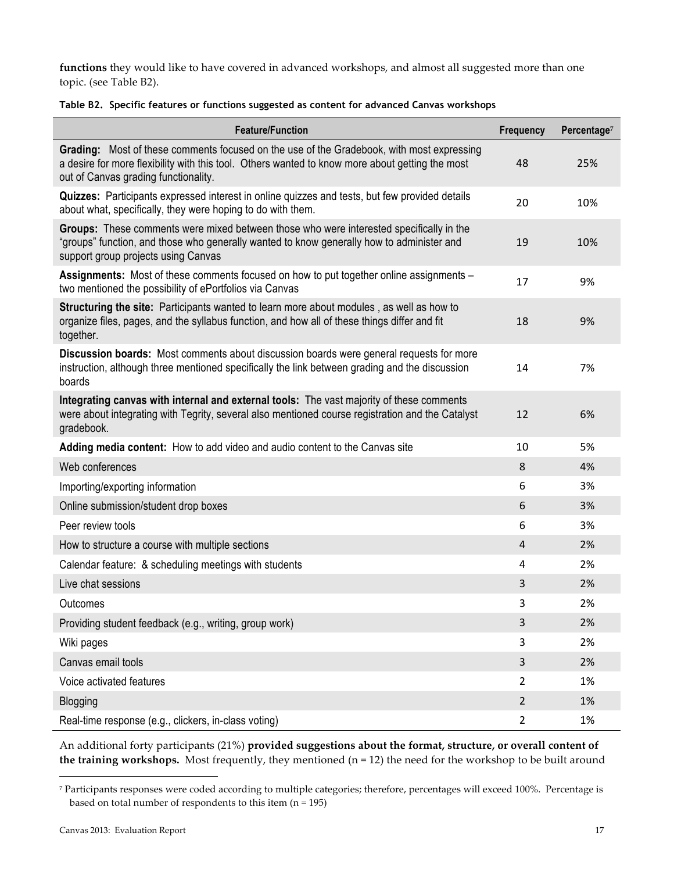functions they would like to have covered in advanced workshops, and almost all suggested more than one topic. (see Table B2).

|  | Table B2. Specific features or functions suggested as content for advanced Canvas workshops |  |  |  |  |
|--|---------------------------------------------------------------------------------------------|--|--|--|--|
|--|---------------------------------------------------------------------------------------------|--|--|--|--|

| <b>Feature/Function</b>                                                                                                                                                                                                              | Frequency      | Percentage <sup>7</sup> |
|--------------------------------------------------------------------------------------------------------------------------------------------------------------------------------------------------------------------------------------|----------------|-------------------------|
| Grading: Most of these comments focused on the use of the Gradebook, with most expressing<br>a desire for more flexibility with this tool. Others wanted to know more about getting the most<br>out of Canvas grading functionality. | 48             | 25%                     |
| Quizzes: Participants expressed interest in online quizzes and tests, but few provided details<br>about what, specifically, they were hoping to do with them.                                                                        | 20             | 10%                     |
| Groups: These comments were mixed between those who were interested specifically in the<br>"groups" function, and those who generally wanted to know generally how to administer and<br>support group projects using Canvas          | 19             | 10%                     |
| Assignments: Most of these comments focused on how to put together online assignments -<br>two mentioned the possibility of ePortfolios via Canvas                                                                                   | 17             | 9%                      |
| Structuring the site: Participants wanted to learn more about modules, as well as how to<br>organize files, pages, and the syllabus function, and how all of these things differ and fit<br>together.                                | 18             | 9%                      |
| Discussion boards: Most comments about discussion boards were general requests for more<br>instruction, although three mentioned specifically the link between grading and the discussion<br>boards                                  | 14             | 7%                      |
| Integrating canvas with internal and external tools: The vast majority of these comments<br>were about integrating with Tegrity, several also mentioned course registration and the Catalyst<br>gradebook.                           | 12             | 6%                      |
| Adding media content: How to add video and audio content to the Canvas site                                                                                                                                                          | 10             | 5%                      |
| Web conferences                                                                                                                                                                                                                      | 8              | 4%                      |
| Importing/exporting information                                                                                                                                                                                                      | 6              | 3%                      |
| Online submission/student drop boxes                                                                                                                                                                                                 | 6              | 3%                      |
| Peer review tools                                                                                                                                                                                                                    | 6              | 3%                      |
| How to structure a course with multiple sections                                                                                                                                                                                     | 4              | 2%                      |
| Calendar feature: & scheduling meetings with students                                                                                                                                                                                | 4              | 2%                      |
| Live chat sessions                                                                                                                                                                                                                   | 3              | 2%                      |
| Outcomes                                                                                                                                                                                                                             | 3              | 2%                      |
| Providing student feedback (e.g., writing, group work)                                                                                                                                                                               | 3              | 2%                      |
| Wiki pages                                                                                                                                                                                                                           | 3              | 2%                      |
| Canvas email tools                                                                                                                                                                                                                   | 3              | 2%                      |
| Voice activated features                                                                                                                                                                                                             | $\overline{2}$ | 1%                      |
| Blogging                                                                                                                                                                                                                             | $\overline{2}$ | 1%                      |
| Real-time response (e.g., clickers, in-class voting)                                                                                                                                                                                 | $\mathbf{2}$   | 1%                      |

An additional forty participants (21%) provided suggestions about the format, structure, or overall content of **the training workshops.** Most frequently, they mentioned ( $n = 12$ ) the need for the workshop to be built around

<sup>&</sup>lt;sup>7</sup> Participants responses were coded according to multiple categories; therefore, percentages will exceed 100%. Percentage is based on total number of respondents to this item  $(n=195)$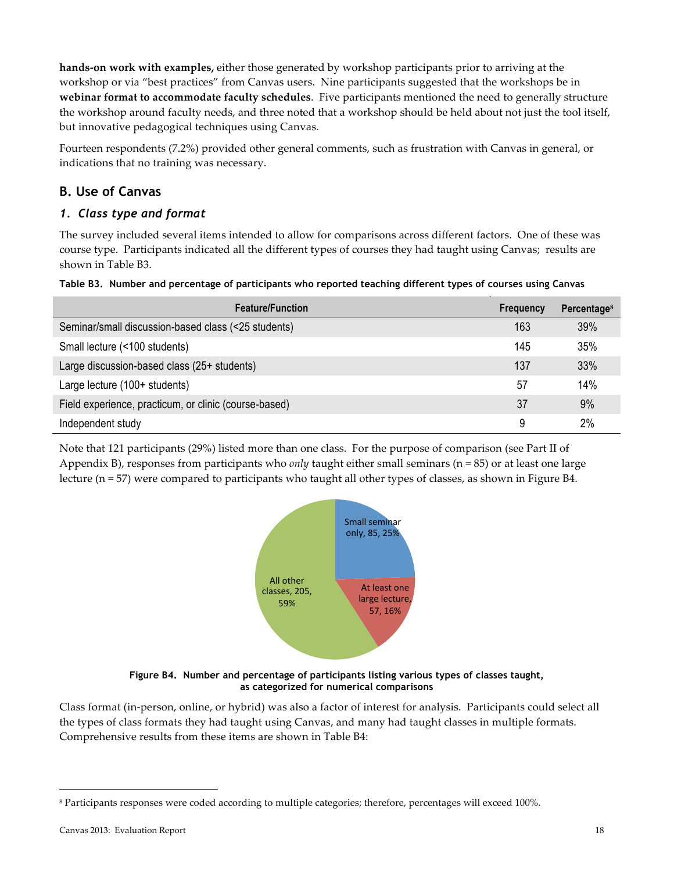**hands-on work with examples,** either those generated by workshop participants prior to arriving at the workshop or via "best practices" from Canvas users. Nine participants suggested that the workshops be in **webinar format to accommodate faculty schedules**. Five participants mentioned the need to generally structure the workshop around faculty needs, and three noted that a workshop should be held about not just the tool itself, but innovative pedagogical techniques using Canvas.

Fourteen respondents (7.2%) provided other general comments, such as frustration with Canvas in general, or indications that no training was necessary.

## **B. Use of Canvas**

## *1. Class type and format*

The survey included several items intended to allow for comparisons across different factors. One of these was course type. Participants indicated all the different types of courses they had taught using Canvas; results are shown in Table B3.

|  | Table B3. Number and percentage of participants who reported teaching different types of courses using Canvas |  |  |  |  |
|--|---------------------------------------------------------------------------------------------------------------|--|--|--|--|
|  |                                                                                                               |  |  |  |  |

| <b>Feature/Function</b>                               | Frequency | Percentage <sup>8</sup> |
|-------------------------------------------------------|-----------|-------------------------|
| Seminar/small discussion-based class (<25 students)   | 163       | 39%                     |
| Small lecture (<100 students)                         | 145       | 35%                     |
| Large discussion-based class (25+ students)           | 137       | 33%                     |
| Large lecture (100+ students)                         | 57        | 14%                     |
| Field experience, practicum, or clinic (course-based) | 37        | 9%                      |
| Independent study                                     | 9         | 2%                      |

Note that 121 participants (29%) listed more than one class. For the purpose of comparison (see Part II of Appendix B), responses from participants who *only* taught either small seminars (n = 85) or at least one large lecture ( $n=57$ ) were compared to participants who taught all other types of classes, as shown in Figure B4.



**Figure B4. Number and percentage of participants listing various types of classes taught, as categorized for numerical comparisons**

Class format (in-person, online, or hybrid) was also a factor of interest for analysis. Participants could select all the types of class formats they had taught using Canvas, and many had taught classes in multiple formats. Comprehensive results from these items are shown in Table B4:

<sup>&</sup>lt;sup>8</sup> Participants responses were coded according to multiple categories; therefore, percentages will exceed 100%.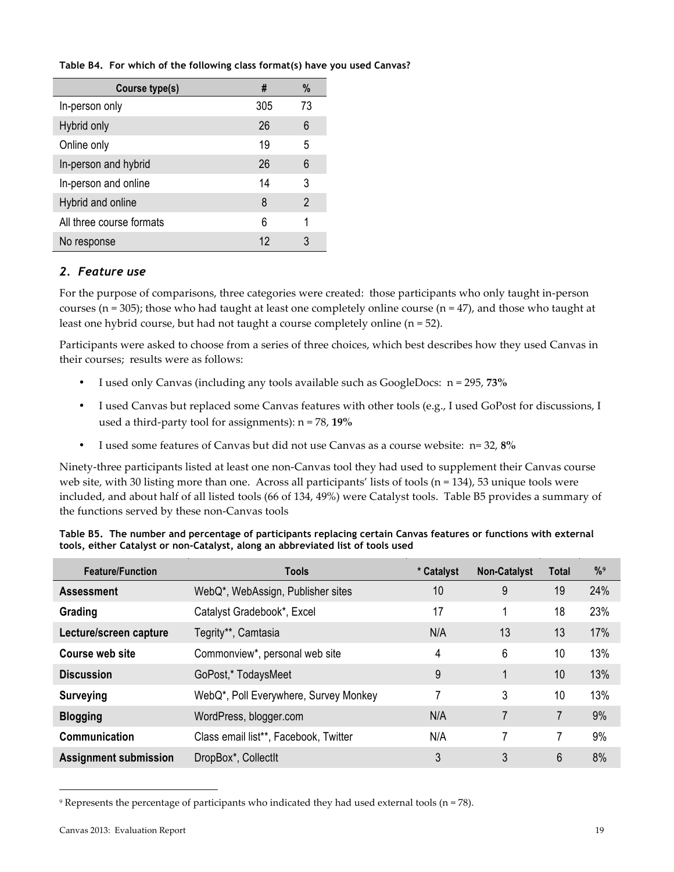**Table B4. For which of the following class format(s) have you used Canvas?**

| Course type(s)           | #   | %  |
|--------------------------|-----|----|
| In-person only           | 305 | 73 |
| Hybrid only              | 26  | 6  |
| Online only              | 19  | 5  |
| In-person and hybrid     | 26  | 6  |
| In-person and online     | 14  | 3  |
| Hybrid and online        | 8   | 2  |
| All three course formats | 6   | 1  |
| No response              | 12  | 3  |

## *2. Feature use*

For the purpose of comparisons, three categories were created: those participants who only taught in-person courses (n = 305); those who had taught at least one completely online course (n = 47), and those who taught at least one hybrid course, but had not taught a course completely online (n =  $52$ ).

Participants were asked to choose from a series of three choices, which best describes how they used Canvas in their courses; results were as follows:

- I used only Canvas (including any tools available such as GoogleDocs:  $n = 295$ , 73%
- I used Canvas but replaced some Canvas features with other tools (e.g., I used GoPost for discussions, I used a third-party tool for assignments):  $n = 78$ , 19%
- I used some features of Canvas but did not use Canvas as a course website:  $n=32,8\%$

Ninety-three participants listed at least one non-Canvas tool they had used to supplement their Canvas course web site, with 30 listing more than one. Across all participants' lists of tools (n = 134), 53 unique tools were included, and about half of all listed tools (66 of 134, 49%) were Catalyst tools. Table B5 provides a summary of the functions served by these non-Canvas tools

| Table B5. The number and percentage of participants replacing certain Canvas features or functions with external |
|------------------------------------------------------------------------------------------------------------------|
| tools, either Catalyst or non-Catalyst, along an abbreviated list of tools used                                  |

| <b>Feature/Function</b>      | <b>Tools</b>                          | * Catalyst | <b>Non-Catalyst</b> | <b>Total</b> | %9  |
|------------------------------|---------------------------------------|------------|---------------------|--------------|-----|
| <b>Assessment</b>            | WebQ*, WebAssign, Publisher sites     | 10         | 9                   | 19           | 24% |
| Grading                      | Catalyst Gradebook*, Excel            | 17         |                     | 18           | 23% |
| Lecture/screen capture       | Tegrity**, Camtasia                   | N/A        | 13                  | 13           | 17% |
| <b>Course web site</b>       | Commonview*, personal web site        | 4          | 6                   | 10           | 13% |
| <b>Discussion</b>            | GoPost,* TodaysMeet                   | 9          | 1                   | 10           | 13% |
| <b>Surveying</b>             | WebQ*, Poll Everywhere, Survey Monkey |            | 3                   | 10           | 13% |
| <b>Blogging</b>              | WordPress, blogger.com                | N/A        | 7                   | 7            | 9%  |
| Communication                | Class email list**, Facebook, Twitter | N/A        | 7                   | 7            | 9%  |
| <b>Assignment submission</b> | DropBox*, CollectIt                   | 3          | 3                   | 6            | 8%  |

<sup>&</sup>lt;sup>9</sup> Represents the percentage of participants who indicated they had used external tools (n = 78).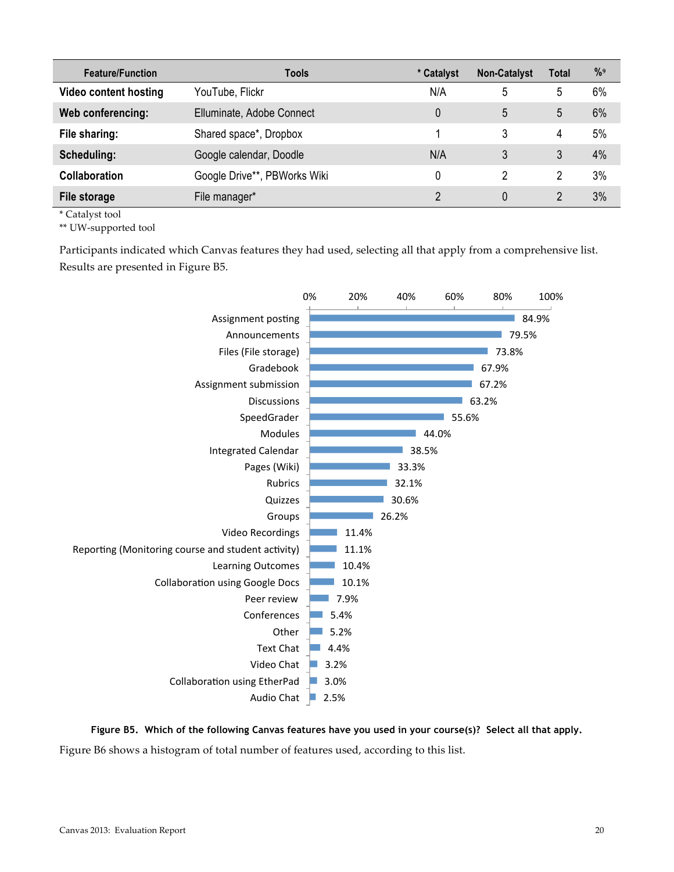| <b>Feature/Function</b>      | Tools                        | * Catalyst | <b>Non-Catalyst</b> | <b>Total</b> | $\frac{9}{9}$ |
|------------------------------|------------------------------|------------|---------------------|--------------|---------------|
| <b>Video content hosting</b> | YouTube, Flickr              | N/A        | 5                   | 5            | 6%            |
| Web conferencing:            | Elluminate, Adobe Connect    | 0          | 5                   | 5            | 6%            |
| File sharing:                | Shared space*, Dropbox       |            | 3                   | 4            | 5%            |
| Scheduling:                  | Google calendar, Doodle      | N/A        | 3                   | 3            | 4%            |
| <b>Collaboration</b>         | Google Drive**, PBWorks Wiki | 0          | 2                   | 2            | 3%            |
| File storage                 | File manager*                | 2          | $\Omega$            |              | 3%            |

\* Catalyst tool

\*\* UW-supported tool

Participants indicated which Canvas features they had used, selecting all that apply from a comprehensive list. Results are presented in Figure B5.



**Figure B5. Which of the following Canvas features have you used in your course(s)? Select all that apply.** Figure B6 shows a histogram of total number of features used, according to this list.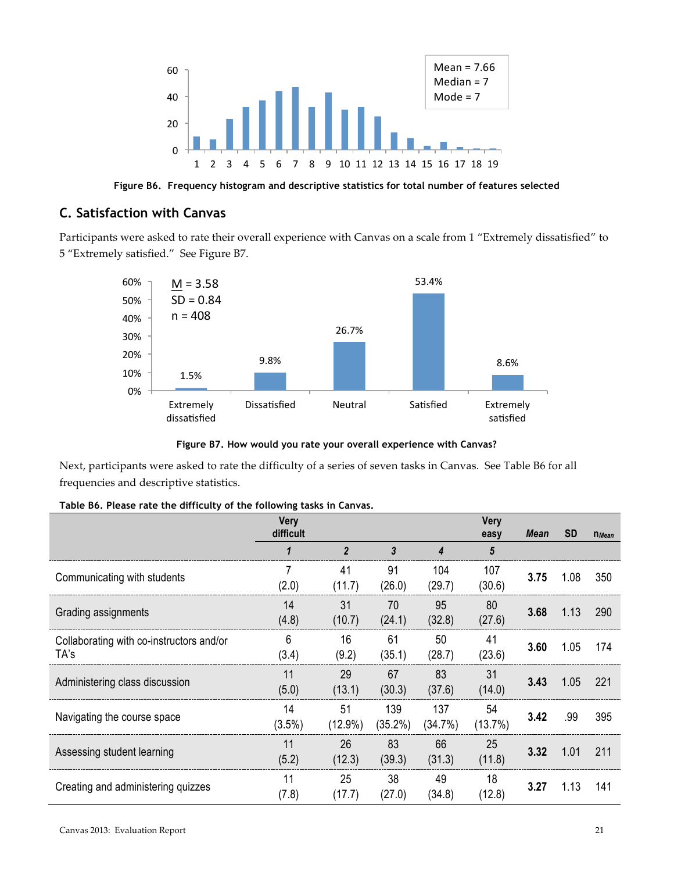

**Figure B6. Frequency histogram and descriptive statistics for total number of features selected**

## **C. Satisfaction with Canvas**

Participants were asked to rate their overall experience with Canvas on a scale from 1 "Extremely dissatisfied" to 5 "Extremely satisfied." See Figure B7.



**Figure B7. How would you rate your overall experience with Canvas?**

Next, participants were asked to rate the difficulty of a series of seven tasks in Canvas. See Table B6 for all frequencies and descriptive statistics.

|  |  |  |  |  | Table B6. Please rate the difficulty of the following tasks in Canvas. |  |  |
|--|--|--|--|--|------------------------------------------------------------------------|--|--|
|--|--|--|--|--|------------------------------------------------------------------------|--|--|

|                                                  | <b>Very</b><br>difficult |                  |                   |                | <b>Very</b><br>easy | Mean | <b>SD</b> | $n$ <i>Mean</i> |
|--------------------------------------------------|--------------------------|------------------|-------------------|----------------|---------------------|------|-----------|-----------------|
|                                                  |                          | $\overline{2}$   | 3                 | 4              | 5                   |      |           |                 |
| Communicating with students                      | (2.0)                    | 41<br>(11.7)     | 91<br>(26.0)      | 104<br>(29.7)  | 107<br>(30.6)       | 3.75 | 1.08      | 350             |
| Grading assignments                              | 14<br>(4.8)              | 31<br>(10.7)     | 70<br>(24.1)      | 95<br>(32.8)   | 80<br>(27.6)        | 3.68 | 1.13      | 290             |
| Collaborating with co-instructors and/or<br>TA's | 6<br>(3.4)               | 16<br>(9.2)      | 61<br>(35.1)      | 50<br>(28.7)   | 41<br>(23.6)        | 3.60 | 1.05      | 174             |
| Administering class discussion                   | 11<br>(5.0)              | 29<br>(13.1)     | 67<br>(30.3)      | 83<br>(37.6)   | 31<br>(14.0)        | 3.43 | 1.05      | 221             |
| Navigating the course space                      | 14<br>$(3.5\%)$          | 51<br>$(12.9\%)$ | 139<br>$(35.2\%)$ | 137<br>(34.7%) | 54<br>(13.7%)       | 3.42 | .99       | 395             |
| Assessing student learning                       | 11<br>(5.2)              | 26<br>(12.3)     | 83<br>(39.3)      | 66<br>(31.3)   | 25<br>(11.8)        | 3.32 | 1.01      | 211             |
| Creating and administering quizzes               | 11<br>(7.8)              | 25<br>(17.7)     | 38<br>(27.0)      | 49<br>(34.8)   | 18<br>(12.8)        | 3.27 | 1.13      | 141             |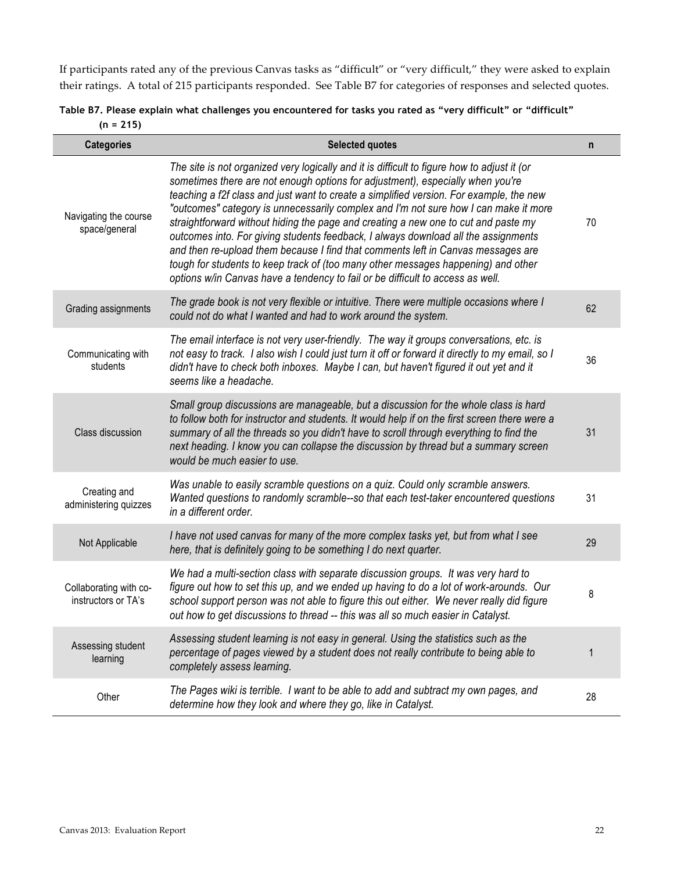If participants rated any of the previous Canvas tasks as "difficult" or "very difficult," they were asked to explain their ratings. A total of 215 participants responded. See Table B7 for categories of responses and selected quotes.

| Table B7. Please explain what challenges you encountered for tasks you rated as "very difficult" or "difficult" |  |
|-----------------------------------------------------------------------------------------------------------------|--|
| $(n = 215)$                                                                                                     |  |

| <b>Categories</b>                             | <b>Selected quotes</b>                                                                                                                                                                                                                                                                                                                                                                                                                                                                                                                                                                                                                                                                                                                                                                                  | n  |
|-----------------------------------------------|---------------------------------------------------------------------------------------------------------------------------------------------------------------------------------------------------------------------------------------------------------------------------------------------------------------------------------------------------------------------------------------------------------------------------------------------------------------------------------------------------------------------------------------------------------------------------------------------------------------------------------------------------------------------------------------------------------------------------------------------------------------------------------------------------------|----|
| Navigating the course<br>space/general        | The site is not organized very logically and it is difficult to figure how to adjust it (or<br>sometimes there are not enough options for adjustment), especially when you're<br>teaching a f2f class and just want to create a simplified version. For example, the new<br>"outcomes" category is unnecessarily complex and I'm not sure how I can make it more<br>straightforward without hiding the page and creating a new one to cut and paste my<br>outcomes into. For giving students feedback, I always download all the assignments<br>and then re-upload them because I find that comments left in Canvas messages are<br>tough for students to keep track of (too many other messages happening) and other<br>options w/in Canvas have a tendency to fail or be difficult to access as well. | 70 |
| Grading assignments                           | The grade book is not very flexible or intuitive. There were multiple occasions where I<br>could not do what I wanted and had to work around the system.                                                                                                                                                                                                                                                                                                                                                                                                                                                                                                                                                                                                                                                | 62 |
| Communicating with<br>students                | The email interface is not very user-friendly. The way it groups conversations, etc. is<br>not easy to track. I also wish I could just turn it off or forward it directly to my email, so I<br>didn't have to check both inboxes. Maybe I can, but haven't figured it out yet and it<br>seems like a headache.                                                                                                                                                                                                                                                                                                                                                                                                                                                                                          | 36 |
| Class discussion                              | Small group discussions are manageable, but a discussion for the whole class is hard<br>to follow both for instructor and students. It would help if on the first screen there were a<br>summary of all the threads so you didn't have to scroll through everything to find the<br>next heading. I know you can collapse the discussion by thread but a summary screen<br>would be much easier to use.                                                                                                                                                                                                                                                                                                                                                                                                  | 31 |
| Creating and<br>administering quizzes         | Was unable to easily scramble questions on a quiz. Could only scramble answers.<br>Wanted questions to randomly scramble--so that each test-taker encountered questions<br>in a different order.                                                                                                                                                                                                                                                                                                                                                                                                                                                                                                                                                                                                        | 31 |
| Not Applicable                                | I have not used canvas for many of the more complex tasks yet, but from what I see<br>here, that is definitely going to be something I do next quarter.                                                                                                                                                                                                                                                                                                                                                                                                                                                                                                                                                                                                                                                 | 29 |
| Collaborating with co-<br>instructors or TA's | We had a multi-section class with separate discussion groups. It was very hard to<br>figure out how to set this up, and we ended up having to do a lot of work-arounds. Our<br>school support person was not able to figure this out either. We never really did figure<br>out how to get discussions to thread -- this was all so much easier in Catalyst.                                                                                                                                                                                                                                                                                                                                                                                                                                             | 8  |
| Assessing student<br>learning                 | Assessing student learning is not easy in general. Using the statistics such as the<br>percentage of pages viewed by a student does not really contribute to being able to<br>completely assess learning.                                                                                                                                                                                                                                                                                                                                                                                                                                                                                                                                                                                               | 1  |
| Other                                         | The Pages wiki is terrible. I want to be able to add and subtract my own pages, and<br>determine how they look and where they go, like in Catalyst.                                                                                                                                                                                                                                                                                                                                                                                                                                                                                                                                                                                                                                                     | 28 |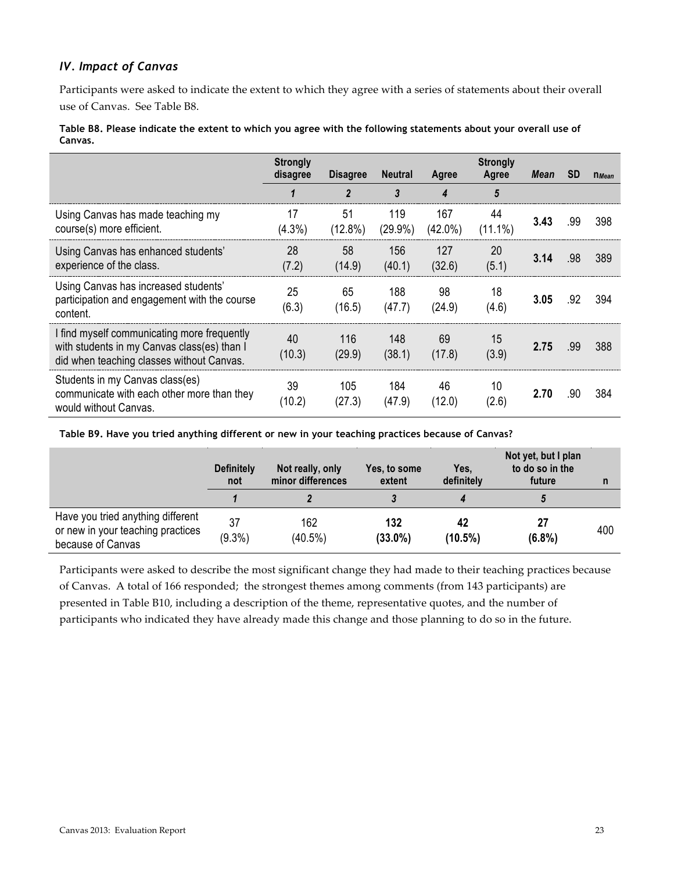## *IV. Impact of Canvas*

Participants were asked to indicate the extent to which they agree with a series of statements about their overall use of Canvas. See Table B8.

#### **Table B8. Please indicate the extent to which you agree with the following statements about your overall use of Canvas.**

|                                                                                                                                         | <b>Strongly</b><br>disagree | <b>Disagree</b>  | <b>Neutral</b>    | Agree             | <b>Strongly</b><br>Agree | Mean | <b>SD</b> | $n$ <i>Mean</i> |
|-----------------------------------------------------------------------------------------------------------------------------------------|-----------------------------|------------------|-------------------|-------------------|--------------------------|------|-----------|-----------------|
|                                                                                                                                         |                             | $\overline{2}$   | 3                 | 4                 | 5                        |      |           |                 |
| Using Canvas has made teaching my<br>course(s) more efficient.                                                                          | 17<br>$(4.3\%)$             | 51<br>$(12.8\%)$ | 119<br>$(29.9\%)$ | 167<br>$(42.0\%)$ | 44<br>$(11.1\%)$         | 3.43 | .99       | 398             |
| Using Canvas has enhanced students'<br>experience of the class.                                                                         | 28<br>(7.2)                 | 58<br>(14.9)     | 156<br>(40.1)     | 127<br>(32.6)     | 20<br>(5.1)              | 3.14 | .98       | 389             |
| Using Canvas has increased students'<br>participation and engagement with the course<br>content.                                        | 25<br>(6.3)                 | 65<br>(16.5)     | 188<br>(47.7)     | 98<br>(24.9)      | 18<br>(4.6)              | 3.05 | .92       | 394             |
| I find myself communicating more frequently<br>with students in my Canvas class(es) than I<br>did when teaching classes without Canvas. | 40<br>(10.3)                | 116<br>(29.9)    | 148<br>(38.1)     | 69<br>(17.8)      | 15<br>(3.9)              | 2.75 | .99       | 388             |
| Students in my Canvas class(es)<br>communicate with each other more than they<br>would without Canvas.                                  | 39<br>(10.2)                | 105<br>(27.3)    | 184<br>(47.9)     | 46<br>(12.0)      | 10<br>(2.6)              | 2.70 | .90       | 384             |

**Table B9. Have you tried anything different or new in your teaching practices because of Canvas?**

|                                                                                             | <b>Definitely</b><br>not | Not really, only<br>minor differences | Yes, to some<br>extent | Yes,<br>definitely | Not yet, but I plan<br>to do so in the<br>future |     |
|---------------------------------------------------------------------------------------------|--------------------------|---------------------------------------|------------------------|--------------------|--------------------------------------------------|-----|
|                                                                                             |                          |                                       |                        |                    |                                                  |     |
| Have you tried anything different<br>or new in your teaching practices<br>because of Canvas | 37<br>$(9.3\%)$          | 162<br>$(40.5\%)$                     | 132<br>$(33.0\%)$      | 42<br>$(10.5\%)$   | 27<br>$(6.8\%)$                                  | 400 |

Participants were asked to describe the most significant change they had made to their teaching practices because of Canvas. A total of 166 responded; the strongest themes among comments (from 143 participants) are presented in Table B10, including a description of the theme, representative quotes, and the number of participants who indicated they have already made this change and those planning to do so in the future.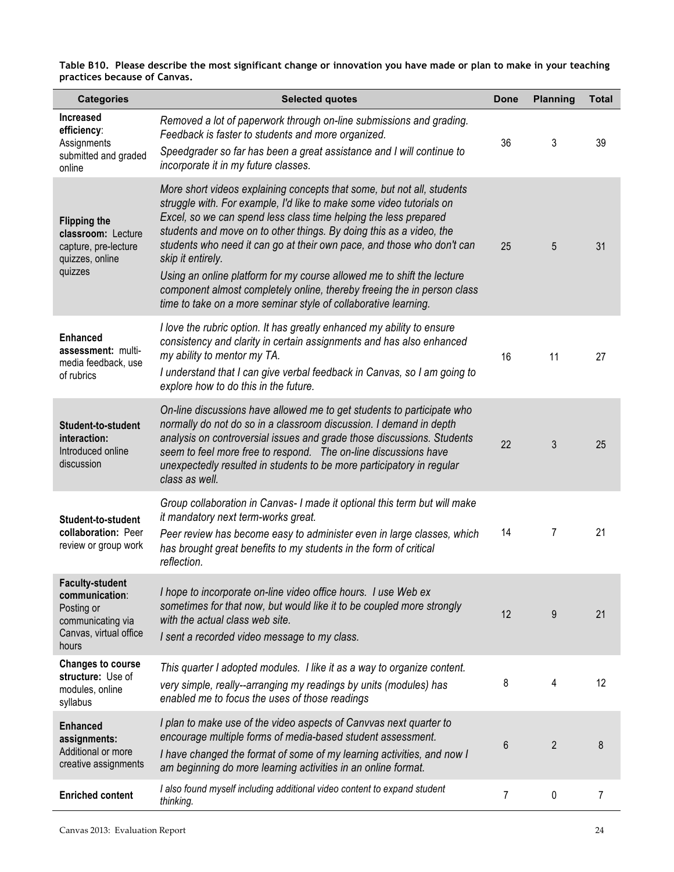**Table B10. Please describe the most significant change or innovation you have made or plan to make in your teaching practices because of Canvas.**

| <b>Categories</b>                                                                                              | <b>Selected quotes</b>                                                                                                                                                                                                                                                                                                                                                                                                                                                                                                                                                                                           | Done | <b>Planning</b> | <b>Total</b> |
|----------------------------------------------------------------------------------------------------------------|------------------------------------------------------------------------------------------------------------------------------------------------------------------------------------------------------------------------------------------------------------------------------------------------------------------------------------------------------------------------------------------------------------------------------------------------------------------------------------------------------------------------------------------------------------------------------------------------------------------|------|-----------------|--------------|
| <b>Increased</b><br>efficiency:<br>Assignments<br>submitted and graded<br>online                               | Removed a lot of paperwork through on-line submissions and grading.<br>Feedback is faster to students and more organized.<br>Speedgrader so far has been a great assistance and I will continue to<br>incorporate it in my future classes.                                                                                                                                                                                                                                                                                                                                                                       | 36   | 3               | 39           |
| <b>Flipping the</b><br>classroom: Lecture<br>capture, pre-lecture<br>quizzes, online<br>quizzes                | More short videos explaining concepts that some, but not all, students<br>struggle with. For example, I'd like to make some video tutorials on<br>Excel, so we can spend less class time helping the less prepared<br>students and move on to other things. By doing this as a video, the<br>students who need it can go at their own pace, and those who don't can<br>skip it entirely.<br>Using an online platform for my course allowed me to shift the lecture<br>component almost completely online, thereby freeing the in person class<br>time to take on a more seminar style of collaborative learning. | 25   | 5               | 31           |
| <b>Enhanced</b><br>assessment: multi-<br>media feedback, use<br>of rubrics                                     | I love the rubric option. It has greatly enhanced my ability to ensure<br>consistency and clarity in certain assignments and has also enhanced<br>my ability to mentor my TA.<br>I understand that I can give verbal feedback in Canvas, so I am going to<br>explore how to do this in the future.                                                                                                                                                                                                                                                                                                               | 16   | 11              | 27           |
| Student-to-student<br>interaction:<br>Introduced online<br>discussion                                          | On-line discussions have allowed me to get students to participate who<br>normally do not do so in a classroom discussion. I demand in depth<br>analysis on controversial issues and grade those discussions. Students<br>seem to feel more free to respond. The on-line discussions have<br>unexpectedly resulted in students to be more participatory in regular<br>class as well.                                                                                                                                                                                                                             | 22   | 3               | 25           |
| Student-to-student<br>collaboration: Peer<br>review or group work                                              | Group collaboration in Canvas- I made it optional this term but will make<br>it mandatory next term-works great.<br>Peer review has become easy to administer even in large classes, which<br>has brought great benefits to my students in the form of critical<br>reflection.                                                                                                                                                                                                                                                                                                                                   | 14   | 7               | 21           |
| <b>Faculty-student</b><br>communication:<br>Posting or<br>communicating via<br>Canvas, virtual office<br>hours | I hope to incorporate on-line video office hours. I use Web ex<br>sometimes for that now, but would like it to be coupled more strongly<br>with the actual class web site.<br>I sent a recorded video message to my class.                                                                                                                                                                                                                                                                                                                                                                                       | 12   | 9               | 21           |
| <b>Changes to course</b><br>structure: Use of<br>modules, online<br>syllabus                                   | This quarter I adopted modules. I like it as a way to organize content.<br>very simple, really--arranging my readings by units (modules) has<br>enabled me to focus the uses of those readings                                                                                                                                                                                                                                                                                                                                                                                                                   | 8    | 4               | 12           |
| <b>Enhanced</b><br>assignments:<br>Additional or more<br>creative assignments                                  | I plan to make use of the video aspects of Canvvas next quarter to<br>encourage multiple forms of media-based student assessment.<br>I have changed the format of some of my learning activities, and now I<br>am beginning do more learning activities in an online format.                                                                                                                                                                                                                                                                                                                                     | 6    | $\overline{2}$  | 8            |
| <b>Enriched content</b>                                                                                        | I also found myself including additional video content to expand student<br>thinking.                                                                                                                                                                                                                                                                                                                                                                                                                                                                                                                            | 7    | 0               | 7            |

l.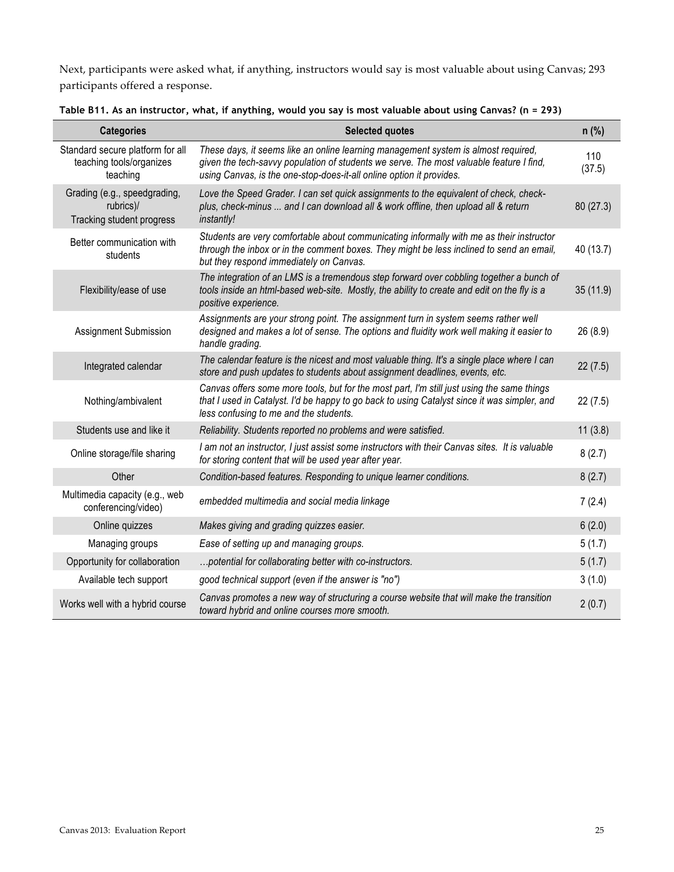Next, participants were asked what, if anything, instructors would say is most valuable about using Canvas; 293 participants offered a response.

| <b>Categories</b>                                                        | <b>Selected quotes</b>                                                                                                                                                                                                                                | $n$ (%)       |
|--------------------------------------------------------------------------|-------------------------------------------------------------------------------------------------------------------------------------------------------------------------------------------------------------------------------------------------------|---------------|
| Standard secure platform for all<br>teaching tools/organizes<br>teaching | These days, it seems like an online learning management system is almost required,<br>given the tech-savvy population of students we serve. The most valuable feature I find,<br>using Canvas, is the one-stop-does-it-all online option it provides. | 110<br>(37.5) |
| Grading (e.g., speedgrading,<br>rubrics)/<br>Tracking student progress   | Love the Speed Grader. I can set quick assignments to the equivalent of check, check-<br>plus, check-minus  and I can download all & work offline, then upload all & return<br>instantly!                                                             | 80(27.3)      |
| Better communication with<br>students                                    | Students are very comfortable about communicating informally with me as their instructor<br>through the inbox or in the comment boxes. They might be less inclined to send an email,<br>but they respond immediately on Canvas.                       | 40 (13.7)     |
| Flexibility/ease of use                                                  | The integration of an LMS is a tremendous step forward over cobbling together a bunch of<br>tools inside an html-based web-site. Mostly, the ability to create and edit on the fly is a<br>positive experience.                                       | 35 (11.9)     |
| Assignment Submission                                                    | Assignments are your strong point. The assignment turn in system seems rather well<br>designed and makes a lot of sense. The options and fluidity work well making it easier to<br>handle grading.                                                    | 26 (8.9)      |
| Integrated calendar                                                      | The calendar feature is the nicest and most valuable thing. It's a single place where I can<br>store and push updates to students about assignment deadlines, events, etc.                                                                            | 22(7.5)       |
| Nothing/ambivalent                                                       | Canvas offers some more tools, but for the most part, I'm still just using the same things<br>that I used in Catalyst. I'd be happy to go back to using Catalyst since it was simpler, and<br>less confusing to me and the students.                  | 22(7.5)       |
| Students use and like it                                                 | Reliability. Students reported no problems and were satisfied.                                                                                                                                                                                        | 11(3.8)       |
| Online storage/file sharing                                              | I am not an instructor, I just assist some instructors with their Canvas sites. It is valuable<br>for storing content that will be used year after year.                                                                                              | 8(2.7)        |
| Other                                                                    | Condition-based features. Responding to unique learner conditions.                                                                                                                                                                                    | 8(2.7)        |
| Multimedia capacity (e.g., web<br>conferencing/video)                    | embedded multimedia and social media linkage                                                                                                                                                                                                          | 7(2.4)        |
| Online quizzes                                                           | Makes giving and grading quizzes easier.                                                                                                                                                                                                              | 6(2.0)        |
| Managing groups                                                          | Ease of setting up and managing groups.                                                                                                                                                                                                               | 5(1.7)        |
| Opportunity for collaboration                                            | potential for collaborating better with co-instructors.                                                                                                                                                                                               | 5(1.7)        |
| Available tech support                                                   | good technical support (even if the answer is "no")                                                                                                                                                                                                   | 3(1.0)        |
| Works well with a hybrid course                                          | Canvas promotes a new way of structuring a course website that will make the transition<br>toward hybrid and online courses more smooth.                                                                                                              | 2(0.7)        |

**Table B11. As an instructor, what, if anything, would you say is most valuable about using Canvas? (n = 293)**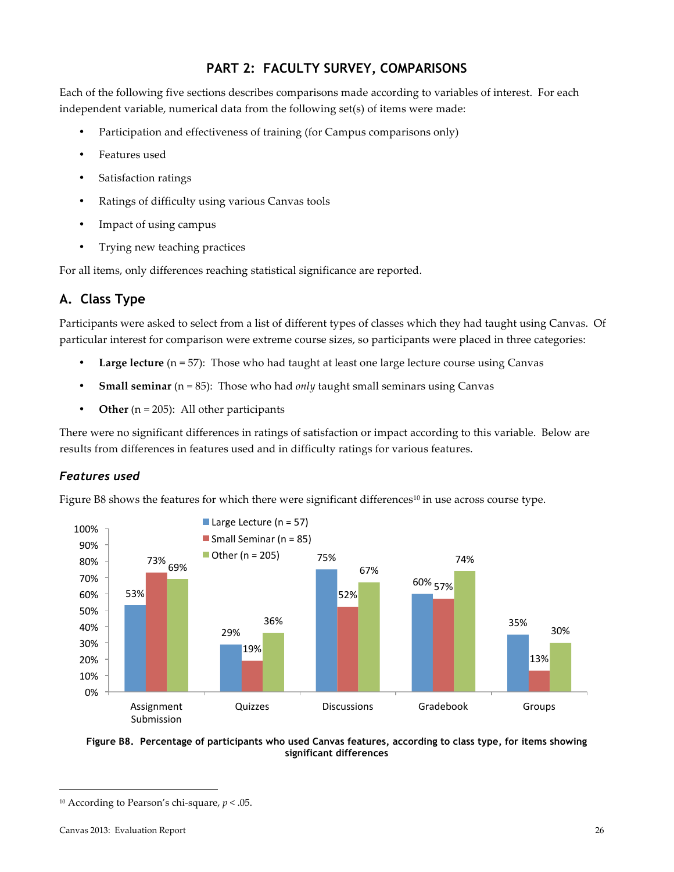## **PART 2: FACULTY SURVEY, COMPARISONS**

Each of the following five sections describes comparisons made according to variables of interest. For each independent variable, numerical data from the following set(s) of items were made:

- Participation and effectiveness of training (for Campus comparisons only)
- Features used
- Satisfaction ratings
- Ratings of difficulty using various Canvas tools
- Impact of using campus
- Trying new teaching practices

For all items, only differences reaching statistical significance are reported.

## **A. Class Type**

Participants were asked to select from a list of different types of classes which they had taught using Canvas. Of particular interest for comparison were extreme course sizes, so participants were placed in three categories:

- **Large lecture** (n = 57): Those who had taught at least one large lecture course using Canvas
- **Small seminar** ( $n = 85$ ): Those who had *only* taught small seminars using Canvas
- **Other** ( $n = 205$ ): All other participants

There were no significant differences in ratings of satisfaction or impact according to this variable. Below are results from differences in features used and in difficulty ratings for various features.

## *Features used*

Figure B8 shows the features for which there were significant differences<sup>10</sup> in use across course type.





<sup>&</sup>lt;sup>10</sup> According to Pearson's chi-square,  $p < .05$ .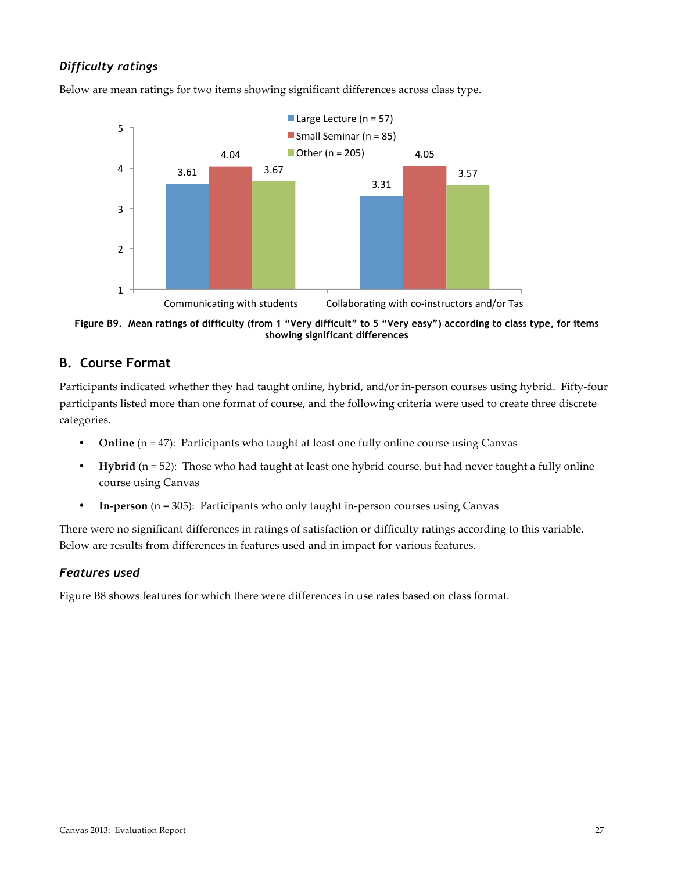## *Difficulty ratings*



Below are mean ratings for two items showing significant differences across class type.

**Figure B9. Mean ratings of difficulty (from 1 "Very difficult" to 5 "Very easy") according to class type, for items showing significant differences**

## **B. Course Format**

Participants indicated whether they had taught online, hybrid, and/or in-person courses using hybrid. Fifty-four participants listed more than one format of course, and the following criteria were used to create three discrete categories.

- **Online**  $(n = 47)$ : Participants who taught at least one fully online course using Canvas
- **Hybrid** (n = 52): Those who had taught at least one hybrid course, but had never taught a fully online course using Canvas
- **In-person** ( $n = 305$ ): Participants who only taught in-person courses using Canvas

There were no significant differences in ratings of satisfaction or difficulty ratings according to this variable. Below are results from differences in features used and in impact for various features.

### *Features used*

Figure B8 shows features for which there were differences in use rates based on class format.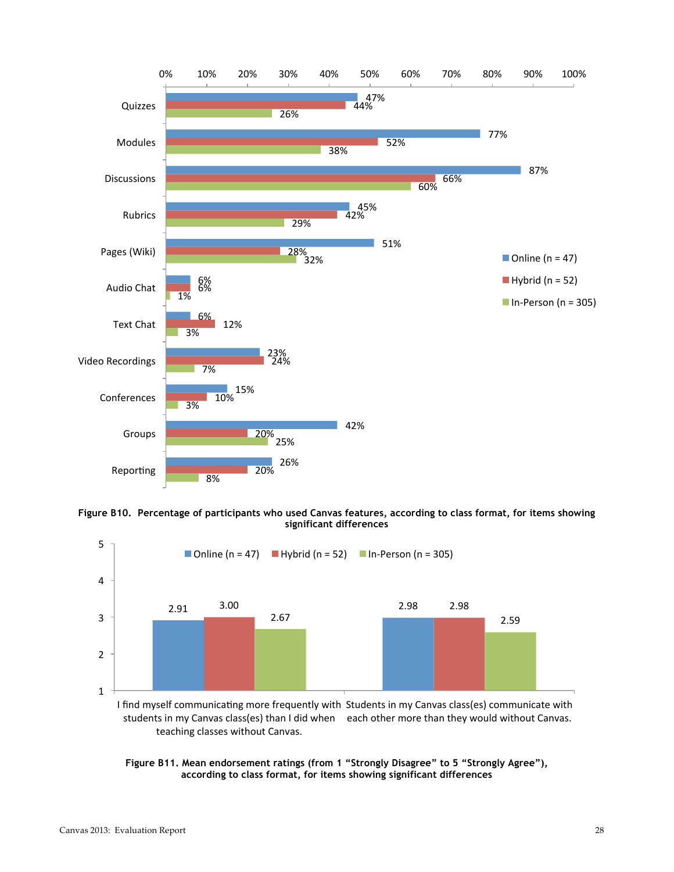

**Figure B10. Percentage of participants who used Canvas features, according to class format, for items showing significant differences**



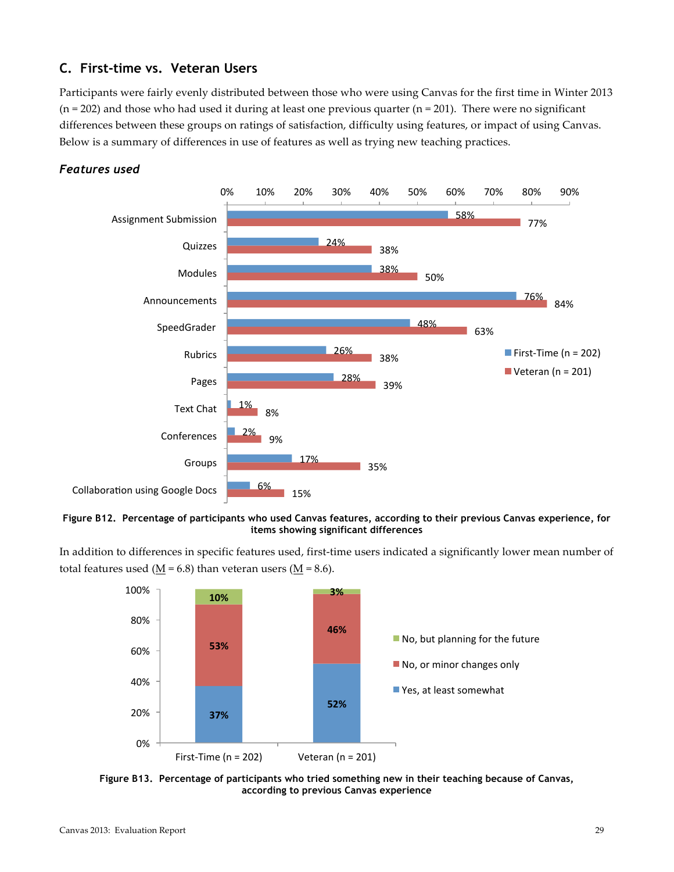## **C. First-time vs. Veteran Users**

Participants were fairly evenly distributed between those who were using Canvas for the first time in Winter 2013 ( $n=202$ ) and those who had used it during at least one previous quarter ( $n=201$ ). There were no significant differences between these groups on ratings of satisfaction, difficulty using features, or impact of using Canvas. Below is a summary of differences in use of features as well as trying new teaching practices.



### *Features used*

**Figure B12. Percentage of participants who used Canvas features, according to their previous Canvas experience, for items showing significant differences**

In addition to differences in specific features used, first-time users indicated a significantly lower mean number of total features used ( $\underline{M}$  = 6.8) than veteran users ( $\underline{M}$  = 8.6).



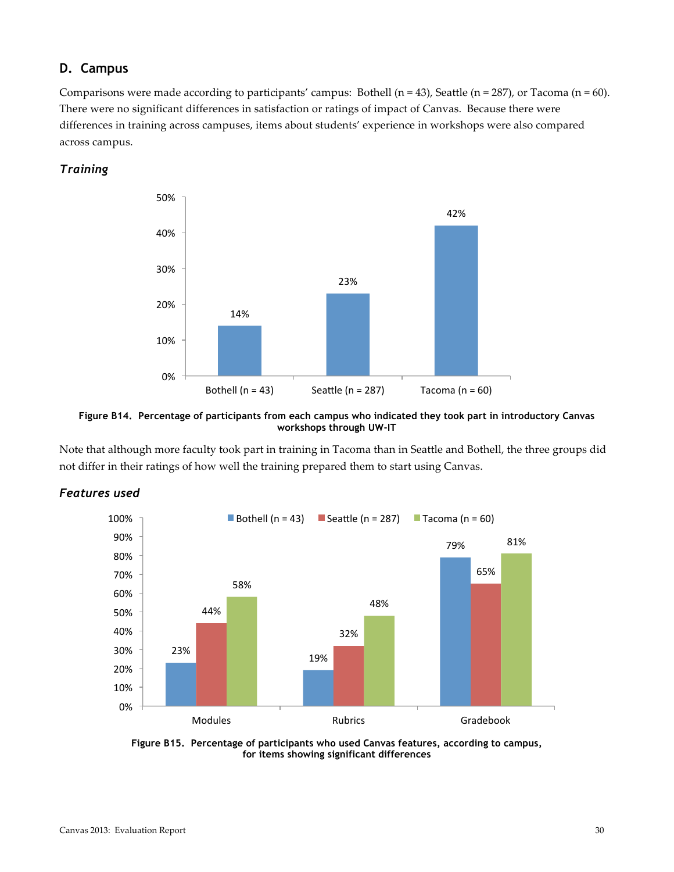## **D. Campus**

Comparisons were made according to participants' campus: Bothell (n = 43), Seattle (n = 287), or Tacoma (n = 60). There were no significant differences in satisfaction or ratings of impact of Canvas. Because there were differences in training across campuses, items about students' experience in workshops were also compared across campus.

### *Training*





Note that although more faculty took part in training in Tacoma than in Seattle and Bothell, the three groups did not differ in their ratings of how well the training prepared them to start using Canvas.



## *Features used*

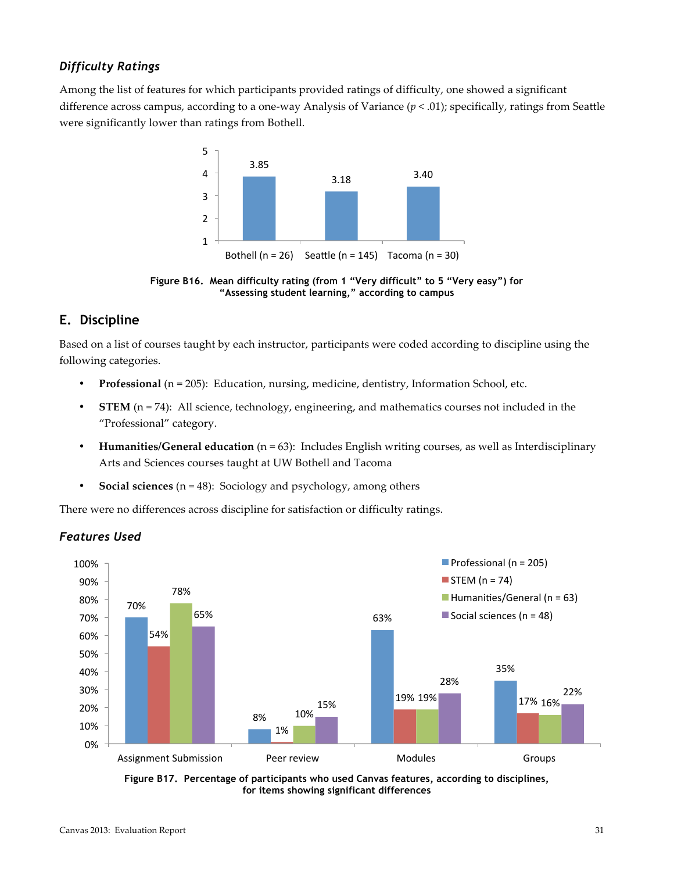## *Difficulty Ratings*

Among the list of features for which participants provided ratings of difficulty, one showed a significant difference across campus, according to a one-way Analysis of Variance  $(p < .01)$ ; specifically, ratings from Seattle were significantly lower than ratings from Bothell.



**Figure B16. Mean difficulty rating (from 1 "Very difficult" to 5 "Very easy") for "Assessing student learning," according to campus**

## **E. Discipline**

Based on a list of courses taught by each instructor, participants were coded according to discipline using the following categories.

- **Professional** (n = 205): Education, nursing, medicine, dentistry, Information School, etc.
- **STEM**  $(n=74)$ : All science, technology, engineering, and mathematics courses not included in the "Professional" category.
- **Humanities/General education** (n = 63): Includes English writing courses, as well as Interdisciplinary Arts and Sciences courses taught at UW Bothell and Tacoma
- **Social sciences** ( $n = 48$ ): Sociology and psychology, among others

There were no differences across discipline for satisfaction or difficulty ratings.



## *Features Used*

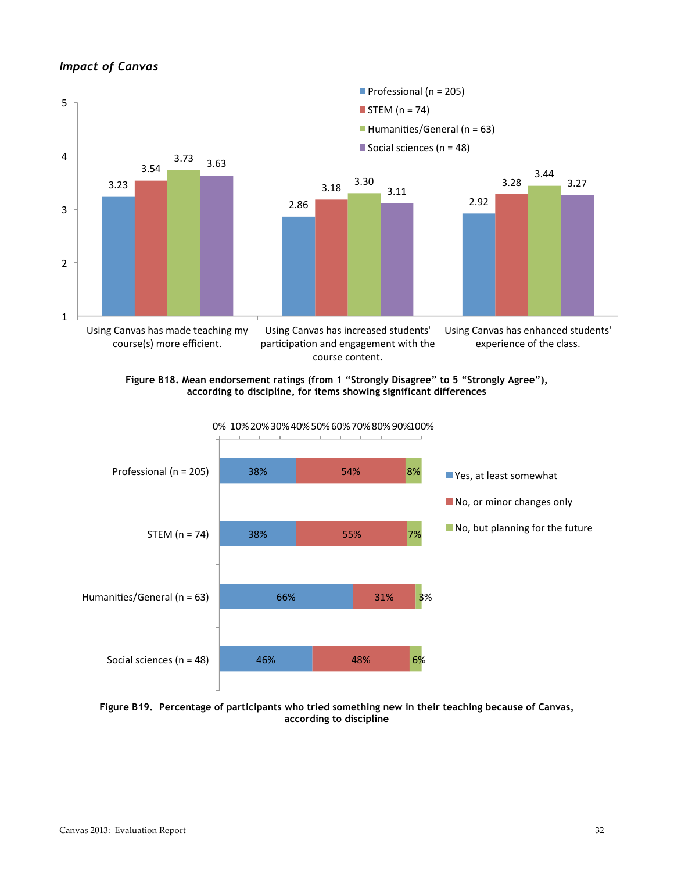### *Impact of Canvas*







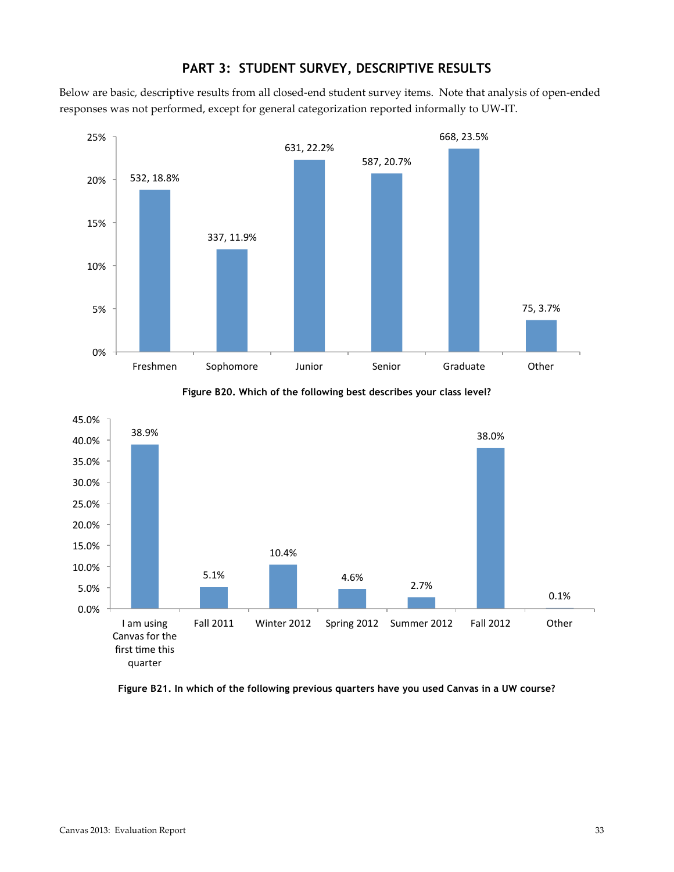

## **PART 3: STUDENT SURVEY, DESCRIPTIVE RESULTS**

Below are basic, descriptive results from all closed-end student survey items. Note that analysis of open-ended responses was not performed, except for general categorization reported informally to UW-IT.





**Figure B21. In which of the following previous quarters have you used Canvas in a UW course?**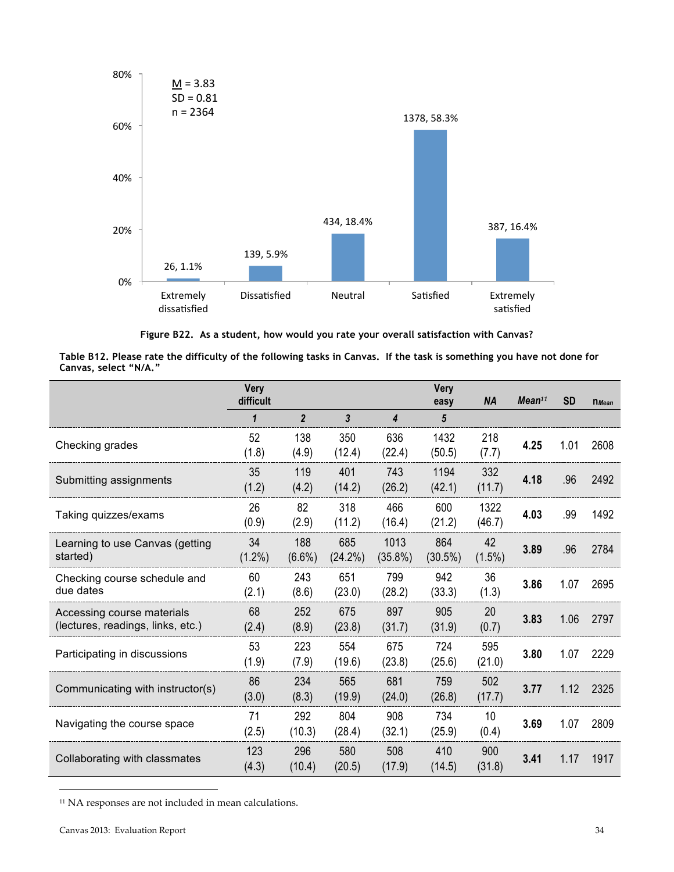

**Figure B22. As a student, how would you rate your overall satisfaction with Canvas?**

| Table B12. Please rate the difficulty of the following tasks in Canvas. If the task is something you have not done for |  |
|------------------------------------------------------------------------------------------------------------------------|--|
| Canvas, select "N/A."                                                                                                  |  |

|                                                                 | <b>Very</b><br>difficult |                  |                   |                    | Very<br>easy      | <b>NA</b>       | Mean <sup>11</sup> | <b>SD</b> | $n$ <i>Mean</i> |
|-----------------------------------------------------------------|--------------------------|------------------|-------------------|--------------------|-------------------|-----------------|--------------------|-----------|-----------------|
|                                                                 | 1                        | $\overline{2}$   | 3                 | 4                  | 5                 |                 |                    |           |                 |
| Checking grades                                                 | 52<br>(1.8)              | 138<br>(4.9)     | 350<br>(12.4)     | 636<br>(22.4)      | 1432<br>(50.5)    | 218<br>(7.7)    | 4.25               | 1.01      | 2608            |
| Submitting assignments                                          | 35<br>(1.2)              | 119<br>(4.2)     | 401<br>(14.2)     | 743<br>(26.2)      | 1194<br>(42.1)    | 332<br>(11.7)   | 4.18               | .96       | 2492            |
| Taking quizzes/exams                                            | 26<br>(0.9)              | 82<br>(2.9)      | 318<br>(11.2)     | 466<br>(16.4)      | 600<br>(21.2)     | 1322<br>(46.7)  | 4.03               | .99       | 1492            |
| Learning to use Canvas (getting<br>started)                     | 34<br>$(1.2\%)$          | 188<br>$(6.6\%)$ | 685<br>$(24.2\%)$ | 1013<br>$(35.8\%)$ | 864<br>$(30.5\%)$ | 42<br>$(1.5\%)$ | 3.89               | .96       | 2784            |
| Checking course schedule and<br>due dates                       | 60<br>(2.1)              | 243<br>(8.6)     | 651<br>(23.0)     | 799<br>(28.2)      | 942<br>(33.3)     | 36<br>(1.3)     | 3.86               | 1.07      | 2695            |
| Accessing course materials<br>(lectures, readings, links, etc.) | 68<br>(2.4)              | 252<br>(8.9)     | 675<br>(23.8)     | 897<br>(31.7)      | 905<br>(31.9)     | 20<br>(0.7)     | 3.83               | 1.06      | 2797            |
| Participating in discussions                                    | 53<br>(1.9)              | 223<br>(7.9)     | 554<br>(19.6)     | 675<br>(23.8)      | 724<br>(25.6)     | 595<br>(21.0)   | 3.80               | 1.07      | 2229            |
| Communicating with instructor(s)                                | 86<br>(3.0)              | 234<br>(8.3)     | 565<br>(19.9)     | 681<br>(24.0)      | 759<br>(26.8)     | 502<br>(17.7)   | 3.77               | 1.12      | 2325            |
| Navigating the course space                                     | 71<br>(2.5)              | 292<br>(10.3)    | 804<br>(28.4)     | 908<br>(32.1)      | 734<br>(25.9)     | 10<br>(0.4)     | 3.69               | 1.07      | 2809            |
| Collaborating with classmates                                   | 123<br>(4.3)             | 296<br>(10.4)    | 580<br>(20.5)     | 508<br>(17.9)      | 410<br>(14.5)     | 900<br>(31.8)   | 3.41               | 1.17      | 1917            |

 $11$  NA responses are not included in mean calculations.